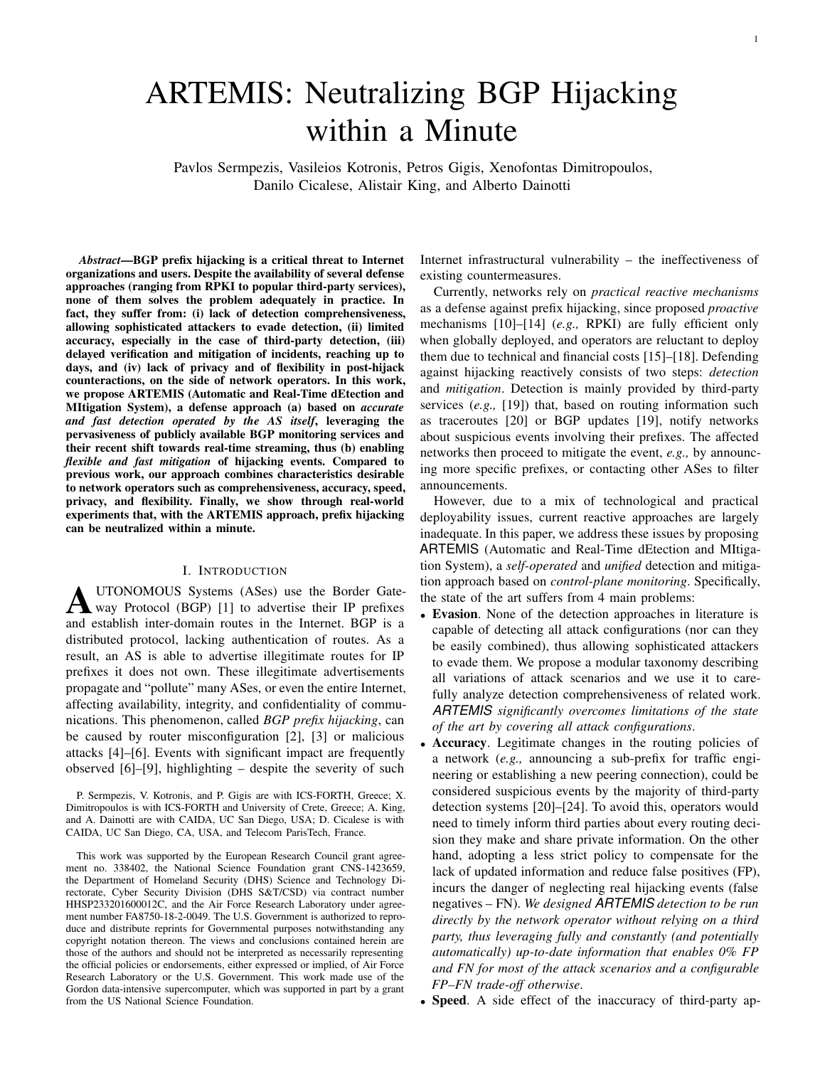# ARTEMIS: Neutralizing BGP Hijacking within a Minute

Pavlos Sermpezis, Vasileios Kotronis, Petros Gigis, Xenofontas Dimitropoulos, Danilo Cicalese, Alistair King, and Alberto Dainotti

*Abstract*—BGP prefix hijacking is a critical threat to Internet organizations and users. Despite the availability of several defense approaches (ranging from RPKI to popular third-party services), none of them solves the problem adequately in practice. In fact, they suffer from: (i) lack of detection comprehensiveness, allowing sophisticated attackers to evade detection, (ii) limited accuracy, especially in the case of third-party detection, (iii) delayed verification and mitigation of incidents, reaching up to days, and (iv) lack of privacy and of flexibility in post-hijack counteractions, on the side of network operators. In this work, we propose ARTEMIS (Automatic and Real-Time dEtection and MItigation System), a defense approach (a) based on *accurate and fast detection operated by the AS itself*, leveraging the pervasiveness of publicly available BGP monitoring services and their recent shift towards real-time streaming, thus (b) enabling *flexible and fast mitigation* of hijacking events. Compared to previous work, our approach combines characteristics desirable to network operators such as comprehensiveness, accuracy, speed, privacy, and flexibility. Finally, we show through real-world experiments that, with the ARTEMIS approach, prefix hijacking can be neutralized within a minute.

### I. INTRODUCTION

**A** UTONOMOUS Systems (ASes) use the Border Gate-<br>and establish inter-domain routes in the Internet. BGP is a UTONOMOUS Systems (ASes) use the Border Gateway Protocol (BGP) [1] to advertise their IP prefixes distributed protocol, lacking authentication of routes. As a result, an AS is able to advertise illegitimate routes for IP prefixes it does not own. These illegitimate advertisements propagate and "pollute" many ASes, or even the entire Internet, affecting availability, integrity, and confidentiality of communications. This phenomenon, called *BGP prefix hijacking*, can be caused by router misconfiguration [2], [3] or malicious attacks [4]–[6]. Events with significant impact are frequently observed [6]–[9], highlighting – despite the severity of such

P. Sermpezis, V. Kotronis, and P. Gigis are with ICS-FORTH, Greece; X. Dimitropoulos is with ICS-FORTH and University of Crete, Greece; A. King, and A. Dainotti are with CAIDA, UC San Diego, USA; D. Cicalese is with CAIDA, UC San Diego, CA, USA, and Telecom ParisTech, France.

This work was supported by the European Research Council grant agreement no. 338402, the National Science Foundation grant CNS-1423659, the Department of Homeland Security (DHS) Science and Technology Directorate, Cyber Security Division (DHS S&T/CSD) via contract number HHSP233201600012C, and the Air Force Research Laboratory under agreement number FA8750-18-2-0049. The U.S. Government is authorized to reproduce and distribute reprints for Governmental purposes notwithstanding any copyright notation thereon. The views and conclusions contained herein are those of the authors and should not be interpreted as necessarily representing the official policies or endorsements, either expressed or implied, of Air Force Research Laboratory or the U.S. Government. This work made use of the Gordon data-intensive supercomputer, which was supported in part by a grant from the US National Science Foundation.

Internet infrastructural vulnerability – the ineffectiveness of existing countermeasures.

Currently, networks rely on *practical reactive mechanisms* as a defense against prefix hijacking, since proposed *proactive* mechanisms [10]–[14] (*e.g.,* RPKI) are fully efficient only when globally deployed, and operators are reluctant to deploy them due to technical and financial costs [15]–[18]. Defending against hijacking reactively consists of two steps: *detection* and *mitigation*. Detection is mainly provided by third-party services (*e.g.,* [19]) that, based on routing information such as traceroutes [20] or BGP updates [19], notify networks about suspicious events involving their prefixes. The affected networks then proceed to mitigate the event, *e.g.,* by announcing more specific prefixes, or contacting other ASes to filter announcements.

However, due to a mix of technological and practical deployability issues, current reactive approaches are largely inadequate. In this paper, we address these issues by proposing ARTEMIS (Automatic and Real-Time dEtection and MItigation System), a *self-operated* and *unified* detection and mitigation approach based on *control-plane monitoring*. Specifically, the state of the art suffers from 4 main problems:

- Evasion. None of the detection approaches in literature is capable of detecting all attack configurations (nor can they be easily combined), thus allowing sophisticated attackers to evade them. We propose a modular taxonomy describing all variations of attack scenarios and we use it to carefully analyze detection comprehensiveness of related work. *ARTEMIS significantly overcomes limitations of the state of the art by covering all attack configurations*.
- Accuracy. Legitimate changes in the routing policies of a network (*e.g.,* announcing a sub-prefix for traffic engineering or establishing a new peering connection), could be considered suspicious events by the majority of third-party detection systems [20]–[24]. To avoid this, operators would need to timely inform third parties about every routing decision they make and share private information. On the other hand, adopting a less strict policy to compensate for the lack of updated information and reduce false positives (FP), incurs the danger of neglecting real hijacking events (false negatives – FN). *We designed ARTEMIS detection to be run directly by the network operator without relying on a third party, thus leveraging fully and constantly (and potentially automatically) up-to-date information that enables 0% FP and FN for most of the attack scenarios and a configurable FP–FN trade-off otherwise*.
- Speed. A side effect of the inaccuracy of third-party ap-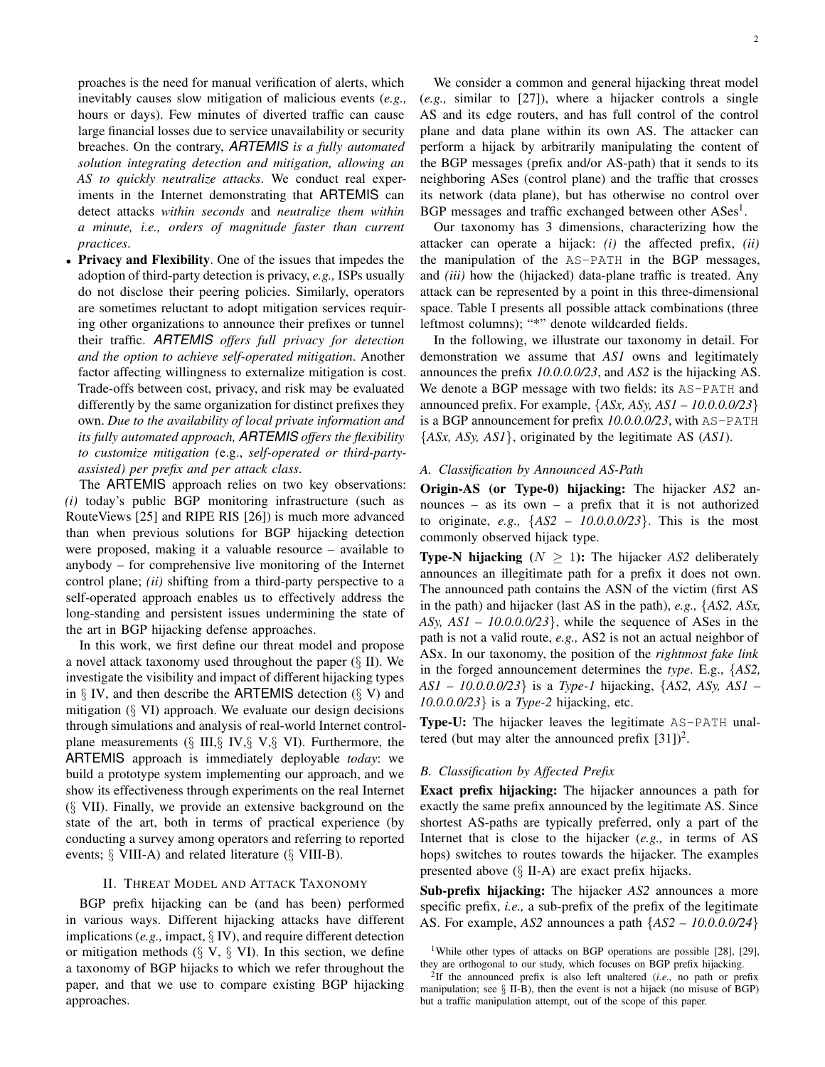proaches is the need for manual verification of alerts, which inevitably causes slow mitigation of malicious events (*e.g.,* hours or days). Few minutes of diverted traffic can cause large financial losses due to service unavailability or security breaches. On the contrary, *ARTEMIS is a fully automated solution integrating detection and mitigation, allowing an AS to quickly neutralize attacks*. We conduct real experiments in the Internet demonstrating that ARTEMIS can detect attacks *within seconds* and *neutralize them within a minute, i.e., orders of magnitude faster than current practices*.

• Privacy and Flexibility. One of the issues that impedes the adoption of third-party detection is privacy, *e.g.,* ISPs usually do not disclose their peering policies. Similarly, operators are sometimes reluctant to adopt mitigation services requiring other organizations to announce their prefixes or tunnel their traffic. *ARTEMIS offers full privacy for detection and the option to achieve self-operated mitigation*. Another factor affecting willingness to externalize mitigation is cost. Trade-offs between cost, privacy, and risk may be evaluated differently by the same organization for distinct prefixes they own. *Due to the availability of local private information and its fully automated approach, ARTEMIS offers the flexibility to customize mitigation (*e.g., *self-operated or third-partyassisted) per prefix and per attack class*.

The ARTEMIS approach relies on two key observations: *(i)* today's public BGP monitoring infrastructure (such as RouteViews [25] and RIPE RIS [26]) is much more advanced than when previous solutions for BGP hijacking detection were proposed, making it a valuable resource – available to anybody – for comprehensive live monitoring of the Internet control plane; *(ii)* shifting from a third-party perspective to a self-operated approach enables us to effectively address the long-standing and persistent issues undermining the state of the art in BGP hijacking defense approaches.

In this work, we first define our threat model and propose a novel attack taxonomy used throughout the paper  $(\S \text{II})$ . We investigate the visibility and impact of different hijacking types in  $\S$  IV, and then describe the ARTEMIS detection  $(\S V)$  and mitigation (§ VI) approach. We evaluate our design decisions through simulations and analysis of real-world Internet controlplane measurements (§ III,§ IV,§ V,§ VI). Furthermore, the ARTEMIS approach is immediately deployable *today*: we build a prototype system implementing our approach, and we show its effectiveness through experiments on the real Internet  $(\S$  VII). Finally, we provide an extensive background on the state of the art, both in terms of practical experience (by conducting a survey among operators and referring to reported events;  $\S$  VIII-A) and related literature ( $\S$  VIII-B).

### II. THREAT MODEL AND ATTACK TAXONOMY

BGP prefix hijacking can be (and has been) performed in various ways. Different hijacking attacks have different implications (*e.g.,* impact, § IV), and require different detection or mitigation methods  $(\S V, \S V)$ . In this section, we define a taxonomy of BGP hijacks to which we refer throughout the paper, and that we use to compare existing BGP hijacking approaches.

We consider a common and general hijacking threat model (*e.g.,* similar to [27]), where a hijacker controls a single AS and its edge routers, and has full control of the control plane and data plane within its own AS. The attacker can perform a hijack by arbitrarily manipulating the content of the BGP messages (prefix and/or AS-path) that it sends to its neighboring ASes (control plane) and the traffic that crosses its network (data plane), but has otherwise no control over BGP messages and traffic exchanged between other ASes<sup>1</sup>.

Our taxonomy has 3 dimensions, characterizing how the attacker can operate a hijack: *(i)* the affected prefix, *(ii)* the manipulation of the AS-PATH in the BGP messages, and *(iii)* how the (hijacked) data-plane traffic is treated. Any attack can be represented by a point in this three-dimensional space. Table I presents all possible attack combinations (three leftmost columns); "\*" denote wildcarded fields.

In the following, we illustrate our taxonomy in detail. For demonstration we assume that *AS1* owns and legitimately announces the prefix *10.0.0.0/23*, and *AS2* is the hijacking AS. We denote a BGP message with two fields: its AS-PATH and announced prefix. For example, {*ASx, ASy, AS1 – 10.0.0.0/23*} is a BGP announcement for prefix *10.0.0.0/23*, with AS-PATH {*ASx, ASy, AS1*}, originated by the legitimate AS (*AS1*).

### *A. Classification by Announced AS-Path*

Origin-AS (or Type-0) hijacking: The hijacker *AS2* announces – as its own – a prefix that it is not authorized to originate, *e.g.,* {*AS2 – 10.0.0.0/23*}. This is the most commonly observed hijack type.

**Type-N hijacking**  $(N > 1)$ : The hijacker *AS2* deliberately announces an illegitimate path for a prefix it does not own. The announced path contains the ASN of the victim (first AS in the path) and hijacker (last AS in the path), *e.g.,* {*AS2, ASx, ASy, AS1 – 10.0.0.0/23*}, while the sequence of ASes in the path is not a valid route, *e.g.,* AS2 is not an actual neighbor of ASx. In our taxonomy, the position of the *rightmost fake link* in the forged announcement determines the *type*. E.g., {*AS2, AS1 – 10.0.0.0/23*} is a *Type-1* hijacking, {*AS2, ASy, AS1 – 10.0.0.0/23*} is a *Type-2* hijacking, etc.

Type-U: The hijacker leaves the legitimate AS-PATH unaltered (but may alter the announced prefix  $[31]$ )<sup>2</sup>.

## *B. Classification by Affected Prefix*

Exact prefix hijacking: The hijacker announces a path for exactly the same prefix announced by the legitimate AS. Since shortest AS-paths are typically preferred, only a part of the Internet that is close to the hijacker (*e.g.,* in terms of AS hops) switches to routes towards the hijacker. The examples presented above  $(\S$  II-A) are exact prefix hijacks.

Sub-prefix hijacking: The hijacker *AS2* announces a more specific prefix, *i.e.,* a sub-prefix of the prefix of the legitimate AS. For example, *AS2* announces a path {*AS2 – 10.0.0.0/24*}

<sup>&</sup>lt;sup>1</sup>While other types of attacks on BGP operations are possible [28], [29], they are orthogonal to our study, which focuses on BGP prefix hijacking.

<sup>2</sup> If the announced prefix is also left unaltered (*i.e.,* no path or prefix manipulation; see  $\S$  II-B), then the event is not a hijack (no misuse of BGP) but a traffic manipulation attempt, out of the scope of this paper.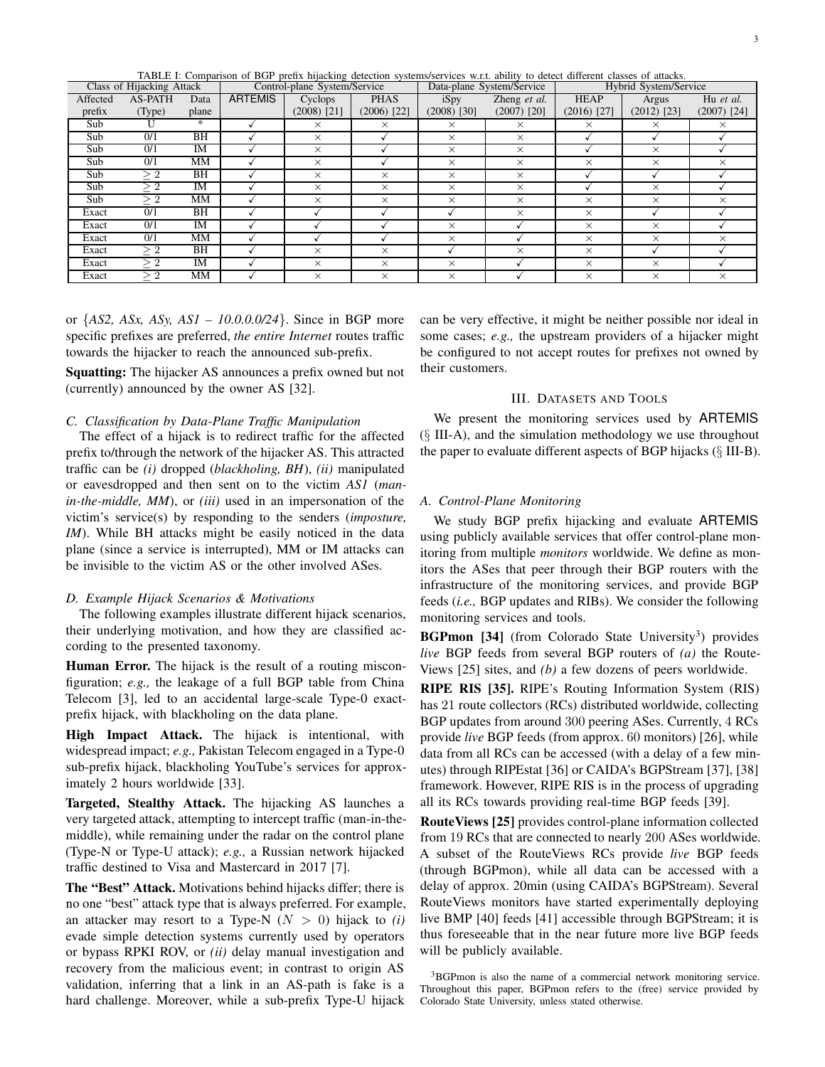| TABLE I: Comparison of BGP prefix hijacking detection systems/services w.r.t. ability to detect different classes of attacks. |  |  |  |  |
|-------------------------------------------------------------------------------------------------------------------------------|--|--|--|--|
|                                                                                                                               |  |  |  |  |

|          | Class of Hijacking Attack |                 |                | Control-plane System/Service |               |               | Data-plane System/Service | Hybrid System/Service |               |               |
|----------|---------------------------|-----------------|----------------|------------------------------|---------------|---------------|---------------------------|-----------------------|---------------|---------------|
| Affected | <b>AS-PATH</b>            | Data            | <b>ARTEMIS</b> | Cyclops                      | <b>PHAS</b>   | iSpy          | Zheng et al.              | <b>HEAP</b>           | Argus         | Hu et al.     |
| prefix   | (Type)                    | plane           |                | $(2008)$ [21]                | $(2006)$ [22] | $(2008)$ [30] | $(2007)$ [20]             | $(2016)$ [27]         | $(2012)$ [23] | $(2007)$ [24] |
| Sub      |                           | *               |                | ×                            | $\times$      | ×             | ×                         | $\times$              | $\times$      | $\times$      |
| Sub      | 0/1                       | BH              |                | $\times$                     |               | $\times$      | $\times$                  |                       |               |               |
| Sub      | 0/1                       | IM              |                | $\times$                     |               | $\times$      | $\times$                  |                       | $\times$      |               |
| Sub      | 0/1                       | $M\overline{M}$ |                | $\times$                     |               | $\times$      | $\times$                  | $\times$              | $\times$      | $\times$      |
| Sub      | $\geq 2$                  | BH              |                | $\times$                     | $\times$      | $\times$      | $\times$                  |                       |               |               |
| Sub      | $\geq 2$                  | IM              |                | $\times$                     | $\times$      | $\times$      | $\times$                  |                       | $\times$      |               |
| Sub      | $\geq 2$                  | MМ              |                | $\times$                     | $\times$      | $\times$      | $\times$                  | $\times$              | $\times$      | $\times$      |
| Exact    | 0/1                       | BH              |                |                              |               |               | $\times$                  | $\times$              |               |               |
| Exact    | 0/1                       | IM              |                |                              |               | $\times$      |                           | $\times$              | $\times$      |               |
| Exact    | 0/1                       | MМ              |                |                              |               | $\times$      |                           | $\times$              | $\times$      | $\times$      |
| Exact    | $\geq 2$                  | BH              |                | $\times$                     | $\times$      |               | $\times$                  | $\times$              |               |               |
| Exact    | $\geq 2$                  | ΙM              |                | $\times$                     | $\times$      | $\times$      |                           | $\times$              | $\times$      |               |
| Exact    | $\overline{2}$            | MМ              |                | $\times$                     | $\times$      | $\times$      |                           | $\times$              | $\times$      | $\times$      |

or {*AS2, ASx, ASy, AS1 – 10.0.0.0/24*}. Since in BGP more specific prefixes are preferred, *the entire Internet* routes traffic towards the hijacker to reach the announced sub-prefix.

Squatting: The hijacker AS announces a prefix owned but not (currently) announced by the owner AS [32].

### *C. Classification by Data-Plane Traffic Manipulation*

The effect of a hijack is to redirect traffic for the affected prefix to/through the network of the hijacker AS. This attracted traffic can be *(i)* dropped (*blackholing, BH*), *(ii)* manipulated or eavesdropped and then sent on to the victim *AS1* (*manin-the-middle, MM*), or *(iii)* used in an impersonation of the victim's service(s) by responding to the senders (*imposture, IM*). While BH attacks might be easily noticed in the data plane (since a service is interrupted), MM or IM attacks can be invisible to the victim AS or the other involved ASes.

### *D. Example Hijack Scenarios & Motivations*

The following examples illustrate different hijack scenarios, their underlying motivation, and how they are classified according to the presented taxonomy.

Human Error. The hijack is the result of a routing misconfiguration; *e.g.,* the leakage of a full BGP table from China Telecom [3], led to an accidental large-scale Type-0 exactprefix hijack, with blackholing on the data plane.

High Impact Attack. The hijack is intentional, with widespread impact; *e.g.,* Pakistan Telecom engaged in a Type-0 sub-prefix hijack, blackholing YouTube's services for approximately 2 hours worldwide [33].

Targeted, Stealthy Attack. The hijacking AS launches a very targeted attack, attempting to intercept traffic (man-in-themiddle), while remaining under the radar on the control plane (Type-N or Type-U attack); *e.g.,* a Russian network hijacked traffic destined to Visa and Mastercard in 2017 [7].

The "Best" Attack. Motivations behind hijacks differ; there is no one "best" attack type that is always preferred. For example, an attacker may resort to a Type-N  $(N > 0)$  hijack to *(i)* evade simple detection systems currently used by operators or bypass RPKI ROV, or *(ii)* delay manual investigation and recovery from the malicious event; in contrast to origin AS validation, inferring that a link in an AS-path is fake is a hard challenge. Moreover, while a sub-prefix Type-U hijack

can be very effective, it might be neither possible nor ideal in some cases; *e.g.,* the upstream providers of a hijacker might be configured to not accept routes for prefixes not owned by their customers.

### III. DATASETS AND TOOLS

We present the monitoring services used by ARTEMIS (§ III-A), and the simulation methodology we use throughout the paper to evaluate different aspects of BGP hijacks (§ III-B).

### *A. Control-Plane Monitoring*

We study BGP prefix hijacking and evaluate ARTEMIS using publicly available services that offer control-plane monitoring from multiple *monitors* worldwide. We define as monitors the ASes that peer through their BGP routers with the infrastructure of the monitoring services, and provide BGP feeds (*i.e.,* BGP updates and RIBs). We consider the following monitoring services and tools.

BGPmon [34] (from Colorado State University<sup>3</sup>) provides *live* BGP feeds from several BGP routers of *(a)* the Route-Views [25] sites, and *(b)* a few dozens of peers worldwide.

RIPE RIS [35]. RIPE's Routing Information System (RIS) has 21 route collectors (RCs) distributed worldwide, collecting BGP updates from around 300 peering ASes. Currently, 4 RCs provide *live* BGP feeds (from approx. 60 monitors) [26], while data from all RCs can be accessed (with a delay of a few minutes) through RIPEstat [36] or CAIDA's BGPStream [37], [38] framework. However, RIPE RIS is in the process of upgrading all its RCs towards providing real-time BGP feeds [39].

RouteViews [25] provides control-plane information collected from 19 RCs that are connected to nearly 200 ASes worldwide. A subset of the RouteViews RCs provide *live* BGP feeds (through BGPmon), while all data can be accessed with a delay of approx. 20min (using CAIDA's BGPStream). Several RouteViews monitors have started experimentally deploying live BMP [40] feeds [41] accessible through BGPStream; it is thus foreseeable that in the near future more live BGP feeds will be publicly available.

<sup>3</sup>BGPmon is also the name of a commercial network monitoring service. Throughout this paper, BGPmon refers to the (free) service provided by Colorado State University, unless stated otherwise.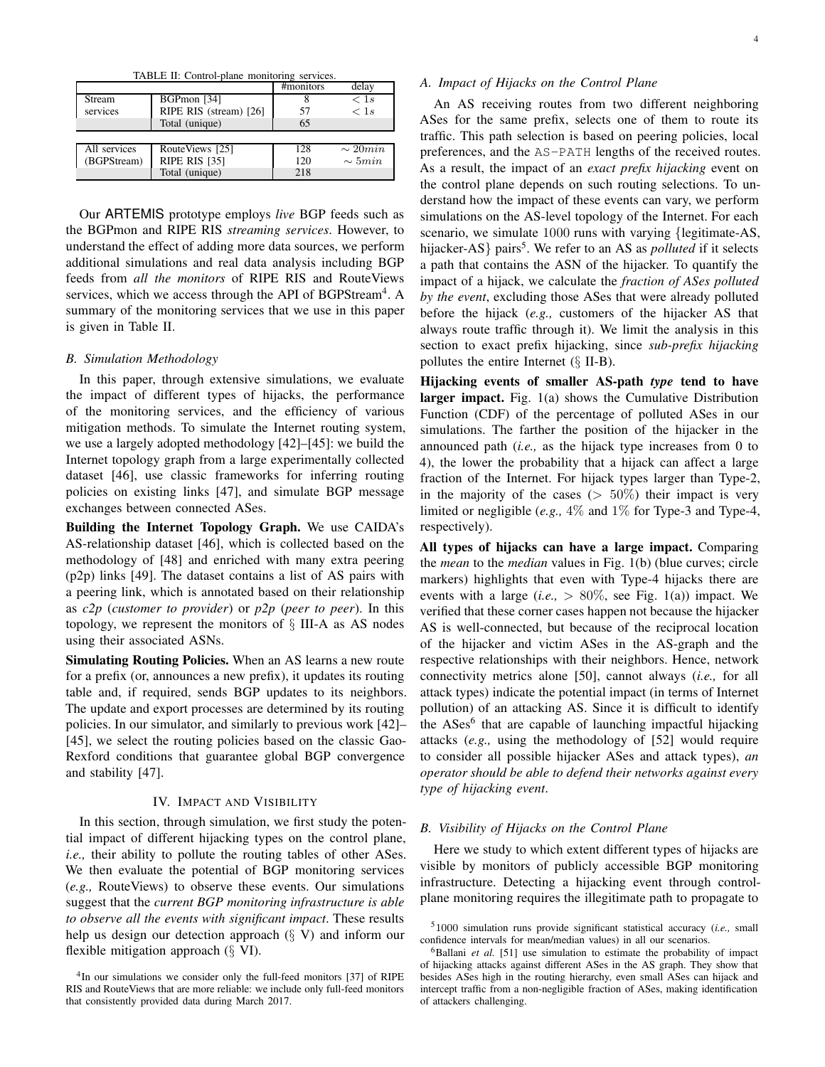TABLE II: Control-plane monitoring services.

|              |                        | #monitors | delay         |
|--------------|------------------------|-----------|---------------|
| Stream       | BGPmon [34]            |           | < 1s          |
| services     | RIPE RIS (stream) [26] | 57        | < 1s          |
|              | Total (unique)         | 65        |               |
|              |                        |           |               |
| All services | RouteViews [25]        | 128       | $\sim 20$ min |
| (BGPStream)  | <b>RIPE RIS [35]</b>   | 120       | $\sim 5min$   |
|              | Total (unique)         | 218       |               |

Our ARTEMIS prototype employs *live* BGP feeds such as the BGPmon and RIPE RIS *streaming services*. However, to understand the effect of adding more data sources, we perform additional simulations and real data analysis including BGP feeds from *all the monitors* of RIPE RIS and RouteViews services, which we access through the API of BGPStream<sup>4</sup>. A summary of the monitoring services that we use in this paper is given in Table II.

### *B. Simulation Methodology*

In this paper, through extensive simulations, we evaluate the impact of different types of hijacks, the performance of the monitoring services, and the efficiency of various mitigation methods. To simulate the Internet routing system, we use a largely adopted methodology [42]–[45]: we build the Internet topology graph from a large experimentally collected dataset [46], use classic frameworks for inferring routing policies on existing links [47], and simulate BGP message exchanges between connected ASes.

Building the Internet Topology Graph. We use CAIDA's AS-relationship dataset [46], which is collected based on the methodology of [48] and enriched with many extra peering (p2p) links [49]. The dataset contains a list of AS pairs with a peering link, which is annotated based on their relationship as *c2p* (*customer to provider*) or *p2p* (*peer to peer*). In this topology, we represent the monitors of  $\S$  III-A as AS nodes using their associated ASNs.

Simulating Routing Policies. When an AS learns a new route for a prefix (or, announces a new prefix), it updates its routing table and, if required, sends BGP updates to its neighbors. The update and export processes are determined by its routing policies. In our simulator, and similarly to previous work [42]– [45], we select the routing policies based on the classic Gao-Rexford conditions that guarantee global BGP convergence and stability [47].

### IV. IMPACT AND VISIBILITY

In this section, through simulation, we first study the potential impact of different hijacking types on the control plane, *i.e.,* their ability to pollute the routing tables of other ASes. We then evaluate the potential of BGP monitoring services (*e.g.,* RouteViews) to observe these events. Our simulations suggest that the *current BGP monitoring infrastructure is able to observe all the events with significant impact*. These results help us design our detection approach  $(\S \ V)$  and inform our flexible mitigation approach  $(\S$  VI).

### *A. Impact of Hijacks on the Control Plane*

An AS receiving routes from two different neighboring ASes for the same prefix, selects one of them to route its traffic. This path selection is based on peering policies, local preferences, and the AS-PATH lengths of the received routes. As a result, the impact of an *exact prefix hijacking* event on the control plane depends on such routing selections. To understand how the impact of these events can vary, we perform simulations on the AS-level topology of the Internet. For each scenario, we simulate 1000 runs with varying {legitimate-AS, hijacker-AS} pairs<sup>5</sup>. We refer to an AS as *polluted* if it selects a path that contains the ASN of the hijacker. To quantify the impact of a hijack, we calculate the *fraction of ASes polluted by the event*, excluding those ASes that were already polluted before the hijack (*e.g.,* customers of the hijacker AS that always route traffic through it). We limit the analysis in this section to exact prefix hijacking, since *sub-prefix hijacking* pollutes the entire Internet  $(\S$  II-B).

Hijacking events of smaller AS-path *type* tend to have larger impact. Fig. 1(a) shows the Cumulative Distribution Function (CDF) of the percentage of polluted ASes in our simulations. The farther the position of the hijacker in the announced path (*i.e.,* as the hijack type increases from 0 to 4), the lower the probability that a hijack can affect a large fraction of the Internet. For hijack types larger than Type-2, in the majority of the cases ( $> 50\%$ ) their impact is very limited or negligible (*e.g.,* 4% and 1% for Type-3 and Type-4, respectively).

All types of hijacks can have a large impact. Comparing the *mean* to the *median* values in Fig. 1(b) (blue curves; circle markers) highlights that even with Type-4 hijacks there are events with a large  $(i.e., > 80\%, \text{ see Fig. 1(a)})$  impact. We verified that these corner cases happen not because the hijacker AS is well-connected, but because of the reciprocal location of the hijacker and victim ASes in the AS-graph and the respective relationships with their neighbors. Hence, network connectivity metrics alone [50], cannot always (*i.e.,* for all attack types) indicate the potential impact (in terms of Internet pollution) of an attacking AS. Since it is difficult to identify the ASes<sup>6</sup> that are capable of launching impactful hijacking attacks (*e.g.,* using the methodology of [52] would require to consider all possible hijacker ASes and attack types), *an operator should be able to defend their networks against every type of hijacking event*.

### *B. Visibility of Hijacks on the Control Plane*

Here we study to which extent different types of hijacks are visible by monitors of publicly accessible BGP monitoring infrastructure. Detecting a hijacking event through controlplane monitoring requires the illegitimate path to propagate to

<sup>4</sup> In our simulations we consider only the full-feed monitors [37] of RIPE RIS and RouteViews that are more reliable: we include only full-feed monitors that consistently provided data during March 2017.

<sup>5</sup>1000 simulation runs provide significant statistical accuracy (*i.e.,* small confidence intervals for mean/median values) in all our scenarios.

<sup>&</sup>lt;sup>6</sup>Ballani *et al.* [51] use simulation to estimate the probability of impact of hijacking attacks against different ASes in the AS graph. They show that besides ASes high in the routing hierarchy, even small ASes can hijack and intercept traffic from a non-negligible fraction of ASes, making identification of attackers challenging.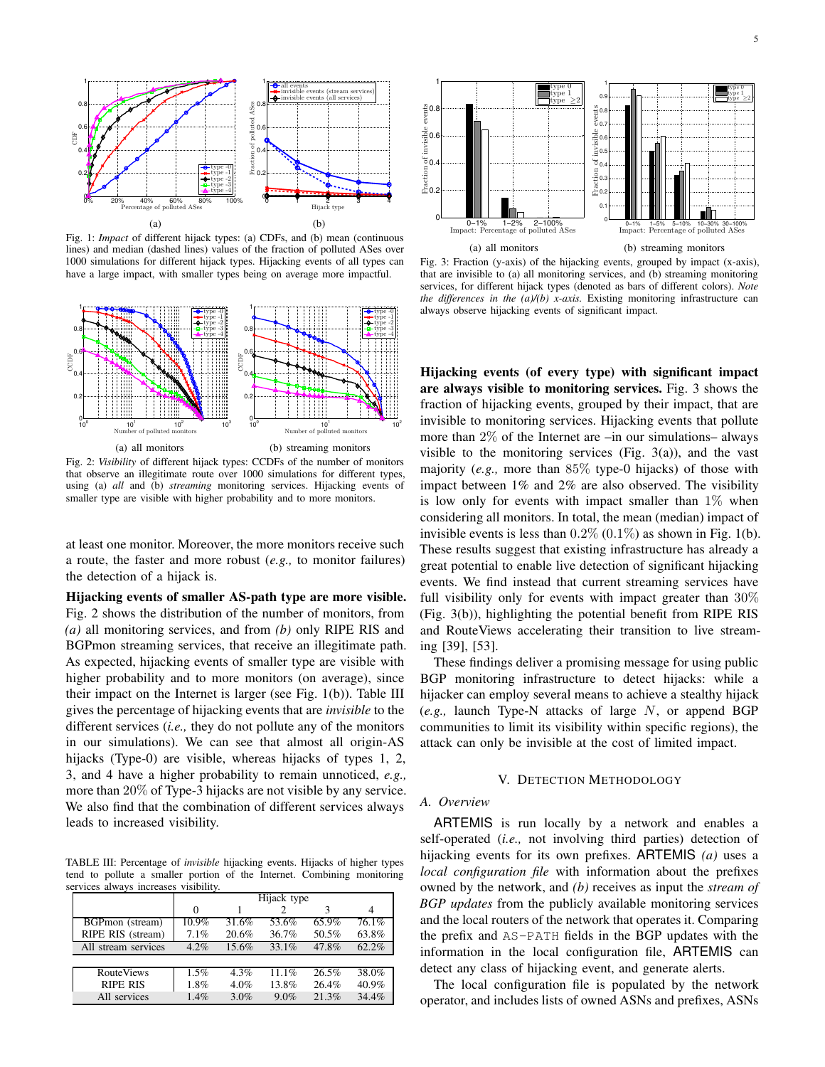

Fig. 1: *Impact* of different hijack types: (a) CDFs, and (b) mean (continuous lines) and median (dashed lines) values of the fraction of polluted ASes over 1000 simulations for different hijack types. Hijacking events of all types can have a large impact, with smaller types being on average more impactful.



Fig. 2: *Visibility* of different hijack types: CCDFs of the number of monitors that observe an illegitimate route over 1000 simulations for different types, using (a) *all* and (b) *streaming* monitoring services. Hijacking events of smaller type are visible with higher probability and to more monitors.

at least one monitor. Moreover, the more monitors receive such a route, the faster and more robust (*e.g.,* to monitor failures) the detection of a hijack is.

Hijacking events of smaller AS-path type are more visible. Fig. 2 shows the distribution of the number of monitors, from *(a)* all monitoring services, and from *(b)* only RIPE RIS and BGPmon streaming services, that receive an illegitimate path. As expected, hijacking events of smaller type are visible with higher probability and to more monitors (on average), since their impact on the Internet is larger (see Fig. 1(b)). Table III gives the percentage of hijacking events that are *invisible* to the different services (*i.e.,* they do not pollute any of the monitors in our simulations). We can see that almost all origin-AS hijacks (Type-0) are visible, whereas hijacks of types 1, 2, 3, and 4 have a higher probability to remain unnoticed, *e.g.,* more than 20% of Type-3 hijacks are not visible by any service. We also find that the combination of different services always leads to increased visibility.

TABLE III: Percentage of *invisible* hijacking events. Hijacks of higher types tend to pollute a smaller portion of the Internet. Combining monitoring services always increases visibility.

|                     |         |       | Hijack type         |       |       |
|---------------------|---------|-------|---------------------|-------|-------|
|                     |         |       |                     |       |       |
| BGPmon (stream)     | 10.9%   | 31.6% | $53.\overline{6\%}$ | 65.9% | 76.1% |
| RIPE RIS (stream)   | 7.1%    | 20.6% | 36.7%               | 50.5% | 63.8% |
| All stream services | 4.2%    | 15.6% | 33.1%               | 47.8% | 62.2% |
|                     |         |       |                     |       |       |
| <b>RouteViews</b>   | $1.5\%$ | 4.3%  | 11.1%               | 26.5% | 38.0% |
| <b>RIPE RIS</b>     | 1.8%    | 4.0%  | 13.8%               | 26.4% | 40.9% |
| All services        | 1.4%    | 3.0%  | 9.0%                | 21.3% | 34.4% |



Fig. 3: Fraction (y-axis) of the hijacking events, grouped by impact (x-axis), that are invisible to (a) all monitoring services, and (b) streaming monitoring services, for different hijack types (denoted as bars of different colors). *Note the differences in the (a)/(b) x-axis.* Existing monitoring infrastructure can always observe hijacking events of significant impact.

Hijacking events (of every type) with significant impact are always visible to monitoring services. Fig. 3 shows the fraction of hijacking events, grouped by their impact, that are invisible to monitoring services. Hijacking events that pollute more than 2% of the Internet are –in our simulations– always visible to the monitoring services (Fig.  $3(a)$ ), and the vast majority (*e.g.,* more than 85% type-0 hijacks) of those with impact between 1% and 2% are also observed. The visibility is low only for events with impact smaller than  $1\%$  when considering all monitors. In total, the mean (median) impact of invisible events is less than  $0.2\%$   $(0.1\%)$  as shown in Fig. 1(b). These results suggest that existing infrastructure has already a great potential to enable live detection of significant hijacking events. We find instead that current streaming services have full visibility only for events with impact greater than 30% (Fig. 3(b)), highlighting the potential benefit from RIPE RIS and RouteViews accelerating their transition to live streaming [39], [53].

These findings deliver a promising message for using public BGP monitoring infrastructure to detect hijacks: while a hijacker can employ several means to achieve a stealthy hijack (*e.g.,* launch Type-N attacks of large N, or append BGP communities to limit its visibility within specific regions), the attack can only be invisible at the cost of limited impact.

### V. DETECTION METHODOLOGY

# *A. Overview*

ARTEMIS is run locally by a network and enables a self-operated (*i.e.,* not involving third parties) detection of hijacking events for its own prefixes. ARTEMIS *(a)* uses a *local configuration file* with information about the prefixes owned by the network, and *(b)* receives as input the *stream of BGP updates* from the publicly available monitoring services and the local routers of the network that operates it. Comparing the prefix and AS-PATH fields in the BGP updates with the information in the local configuration file, ARTEMIS can detect any class of hijacking event, and generate alerts.

The local configuration file is populated by the network operator, and includes lists of owned ASNs and prefixes, ASNs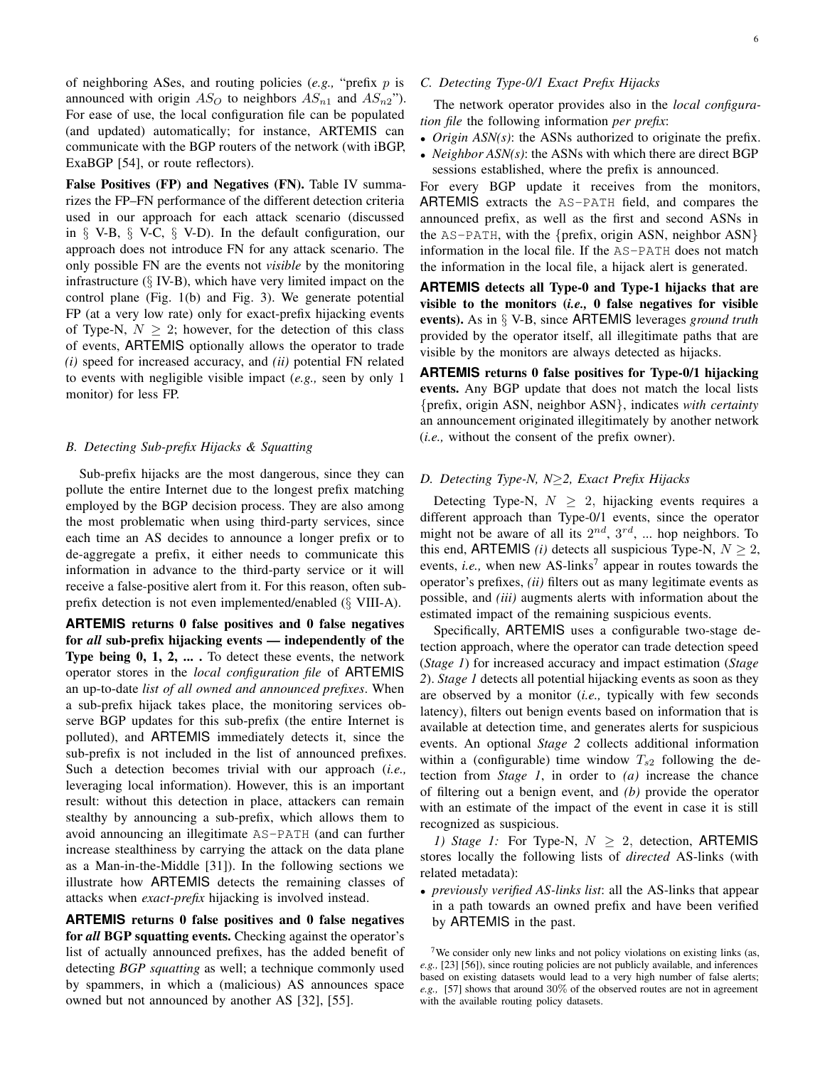of neighboring ASes, and routing policies (*e.g.,* "prefix p is announced with origin  $AS_O$  to neighbors  $AS_{n1}$  and  $AS_{n2}$ "). For ease of use, the local configuration file can be populated (and updated) automatically; for instance, ARTEMIS can communicate with the BGP routers of the network (with iBGP, ExaBGP [54], or route reflectors).

False Positives (FP) and Negatives (FN). Table IV summarizes the FP–FN performance of the different detection criteria used in our approach for each attack scenario (discussed in § V-B, § V-C, § V-D). In the default configuration, our approach does not introduce FN for any attack scenario. The only possible FN are the events not *visible* by the monitoring infrastructure  $(\S$  IV-B), which have very limited impact on the control plane (Fig. 1(b) and Fig. 3). We generate potential FP (at a very low rate) only for exact-prefix hijacking events of Type-N,  $N \geq 2$ ; however, for the detection of this class of events, ARTEMIS optionally allows the operator to trade *(i)* speed for increased accuracy, and *(ii)* potential FN related to events with negligible visible impact (*e.g.,* seen by only 1 monitor) for less FP.

### *B. Detecting Sub-prefix Hijacks & Squatting*

Sub-prefix hijacks are the most dangerous, since they can pollute the entire Internet due to the longest prefix matching employed by the BGP decision process. They are also among the most problematic when using third-party services, since each time an AS decides to announce a longer prefix or to de-aggregate a prefix, it either needs to communicate this information in advance to the third-party service or it will receive a false-positive alert from it. For this reason, often subprefix detection is not even implemented/enabled (§ VIII-A).

**ARTEMIS** returns 0 false positives and 0 false negatives for *all* sub-prefix hijacking events — independently of the **Type being 0, 1, 2, ...** To detect these events, the network operator stores in the *local configuration file* of ARTEMIS an up-to-date *list of all owned and announced prefixes*. When a sub-prefix hijack takes place, the monitoring services observe BGP updates for this sub-prefix (the entire Internet is polluted), and ARTEMIS immediately detects it, since the sub-prefix is not included in the list of announced prefixes. Such a detection becomes trivial with our approach (*i.e.,* leveraging local information). However, this is an important result: without this detection in place, attackers can remain stealthy by announcing a sub-prefix, which allows them to avoid announcing an illegitimate AS-PATH (and can further increase stealthiness by carrying the attack on the data plane as a Man-in-the-Middle [31]). In the following sections we illustrate how ARTEMIS detects the remaining classes of attacks when *exact-prefix* hijacking is involved instead.

**ARTEMIS** returns 0 false positives and 0 false negatives for *all* BGP squatting events. Checking against the operator's list of actually announced prefixes, has the added benefit of detecting *BGP squatting* as well; a technique commonly used by spammers, in which a (malicious) AS announces space owned but not announced by another AS [32], [55].

# *C. Detecting Type-0/1 Exact Prefix Hijacks*

The network operator provides also in the *local configuration file* the following information *per prefix*:

- *Origin ASN(s)*: the ASNs authorized to originate the prefix.
- *Neighbor ASN(s)*: the ASNs with which there are direct BGP sessions established, where the prefix is announced.

For every BGP update it receives from the monitors, ARTEMIS extracts the AS-PATH field, and compares the announced prefix, as well as the first and second ASNs in the AS-PATH, with the {prefix, origin ASN, neighbor ASN} information in the local file. If the AS-PATH does not match the information in the local file, a hijack alert is generated.

**ARTEMIS** detects all Type-0 and Type-1 hijacks that are visible to the monitors (*i.e.,* 0 false negatives for visible events). As in § V-B, since ARTEMIS leverages *ground truth* provided by the operator itself, all illegitimate paths that are visible by the monitors are always detected as hijacks.

**ARTEMIS** returns 0 false positives for Type-0/1 hijacking events. Any BGP update that does not match the local lists {prefix, origin ASN, neighbor ASN}, indicates *with certainty* an announcement originated illegitimately by another network (*i.e.,* without the consent of the prefix owner).

### *D. Detecting Type-N, N*≥*2, Exact Prefix Hijacks*

Detecting Type-N,  $N \geq 2$ , hijacking events requires a different approach than Type-0/1 events, since the operator might not be aware of all its  $2^{nd}$ ,  $3^{rd}$ , ... hop neighbors. To this end, ARTEMIS *(i)* detects all suspicious Type-N,  $N \geq 2$ , events, *i.e.*, when new AS-links<sup>7</sup> appear in routes towards the operator's prefixes, *(ii)* filters out as many legitimate events as possible, and *(iii)* augments alerts with information about the estimated impact of the remaining suspicious events.

Specifically, ARTEMIS uses a configurable two-stage detection approach, where the operator can trade detection speed (*Stage 1*) for increased accuracy and impact estimation (*Stage 2*). *Stage 1* detects all potential hijacking events as soon as they are observed by a monitor (*i.e.,* typically with few seconds latency), filters out benign events based on information that is available at detection time, and generates alerts for suspicious events. An optional *Stage 2* collects additional information within a (configurable) time window  $T_{s2}$  following the detection from *Stage 1*, in order to *(a)* increase the chance of filtering out a benign event, and *(b)* provide the operator with an estimate of the impact of the event in case it is still recognized as suspicious.

*1) Stage 1:* For Type-N,  $N \geq 2$ , detection, ARTEMIS stores locally the following lists of *directed* AS-links (with related metadata):

• *previously verified AS-links list*: all the AS-links that appear in a path towards an owned prefix and have been verified by ARTEMIS in the past.

<sup>7</sup>We consider only new links and not policy violations on existing links (as, *e.g.,* [23] [56]), since routing policies are not publicly available, and inferences based on existing datasets would lead to a very high number of false alerts; *e.g.,* [57] shows that around 30% of the observed routes are not in agreement with the available routing policy datasets.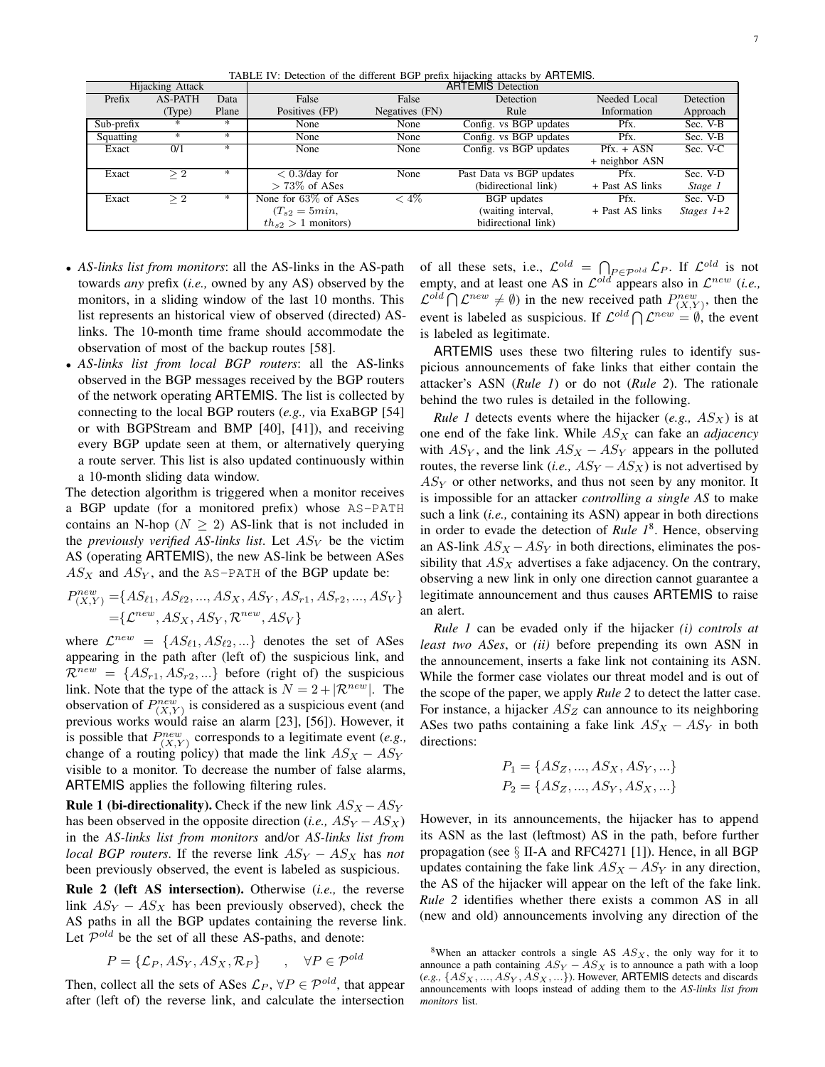TABLE IV: Detection of the different BGP prefix hijacking attacks by ARTEMIS.

|            | Hijacking Attack |       | <b>ARTEMIS Detection</b> |                |                          |                 |              |
|------------|------------------|-------|--------------------------|----------------|--------------------------|-----------------|--------------|
| Prefix     | <b>AS-PATH</b>   | Data  | False                    | False          | Detection                | Needed Local    | Detection    |
|            | (Type)           | Plane | Positives (FP)           | Negatives (FN) | Rule                     | Information     | Approach     |
| Sub-prefix | ∗                | *     | None                     | None           | Config. vs BGP updates   | Pfx.            | Sec. V-B     |
| Squatting  | $*$              | *     | None                     | None           | Config. vs BGP updates   | Pfx.            | Sec. V-B     |
| Exact      | 0/1              | *     | None                     | None           | Config. vs BGP updates   | $Pfx. + ASN$    | Sec. V-C     |
|            |                  |       |                          |                |                          | + neighbor ASN  |              |
| Exact      | $\geq 2$         | *     | $< 0.3$ /day for         | None           | Past Data vs BGP updates | Pfx.            | Sec. V-D     |
|            |                  |       | $> 73\%$ of ASes         |                | (bidirectional link)     | + Past AS links | Stage 1      |
| Exact      | $\geq 2$         | *     | None for $63\%$ of ASes  | $< 4\%$        | <b>BGP</b> updates       | Pfx.            | Sec. V-D     |
|            |                  |       | $(T_{s2}=5min,$          |                | (waiting interval,       | + Past AS links | Stages $1+2$ |
|            |                  |       | $th_{s2} > 1$ monitors)  |                | bidirectional link)      |                 |              |

- *AS-links list from monitors*: all the AS-links in the AS-path towards *any* prefix (*i.e.,* owned by any AS) observed by the monitors, in a sliding window of the last 10 months. This list represents an historical view of observed (directed) ASlinks. The 10-month time frame should accommodate the observation of most of the backup routes [58].
- *AS-links list from local BGP routers*: all the AS-links observed in the BGP messages received by the BGP routers of the network operating ARTEMIS. The list is collected by connecting to the local BGP routers (*e.g.,* via ExaBGP [54] or with BGPStream and BMP [40], [41]), and receiving every BGP update seen at them, or alternatively querying a route server. This list is also updated continuously within a 10-month sliding data window.

The detection algorithm is triggered when a monitor receives a BGP update (for a monitored prefix) whose AS-PATH contains an N-hop ( $N \geq 2$ ) AS-link that is not included in the *previously verified AS-links list*. Let  $AS_V$  be the victim AS (operating ARTEMIS), the new AS-link be between ASes  $AS_X$  and  $AS_Y$ , and the AS-PATH of the BGP update be:

$$
P_{(X,Y)}^{new} = \{AS_{\ell 1}, AS_{\ell 2}, ..., AS_X, AS_Y, AS_{r1}, AS_{r2}, ..., AS_V\}
$$
  
=\{\mathcal{L}^{new}, AS\_X, AS\_Y, \mathcal{R}^{new}, AS\_Y\}

where  $\mathcal{L}^{new} = \{AS_{\ell 1}, AS_{\ell 2}, ...\}$  denotes the set of ASes appearing in the path after (left of) the suspicious link, and  $\mathcal{R}^{new} = \{AS_{r1}, AS_{r2}, ...\}$  before (right of) the suspicious link. Note that the type of the attack is  $N = 2 + |\mathcal{R}^{new}|$ . The observation of  $P_{(X,Y)}^{new}$  is considered as a suspicious event (and previous works would raise an alarm [23], [56]). However, it is possible that  $P_{(X,Y)}^{new}$  corresponds to a legitimate event (*e.g.*, change of a routing policy) that made the link  $AS_X - AS_Y$ visible to a monitor. To decrease the number of false alarms, ARTEMIS applies the following filtering rules.

**Rule 1 (bi-directionality).** Check if the new link  $AS_X - AS_Y$ has been observed in the opposite direction (*i.e.*,  $AS_Y - AS_X$ ) in the *AS-links list from monitors* and/or *AS-links list from local BGP routers*. If the reverse link  $AS_Y - AS_X$  has *not* been previously observed, the event is labeled as suspicious.

Rule 2 (left AS intersection). Otherwise (*i.e.,* the reverse link  $AS_Y - AS_X$  has been previously observed), check the AS paths in all the BGP updates containing the reverse link. Let  $\mathcal{P}^{old}$  be the set of all these AS-paths, and denote:

$$
P = \{ \mathcal{L}_P, AS_Y, AS_X, \mathcal{R}_P \} \qquad , \quad \forall P \in \mathcal{P}^{old}
$$

Then, collect all the sets of ASes  $\mathcal{L}_P$ ,  $\forall P \in \mathcal{P}^{old}$ , that appear after (left of) the reverse link, and calculate the intersection

of all these sets, i.e.,  $\mathcal{L}^{old} = \bigcap_{P \in \mathcal{P}^{old}} \mathcal{L}_P$ . If  $\mathcal{L}^{old}$  is not empty, and at least one AS in  $\mathcal{L}^{old}$  appears also in  $\mathcal{L}^{new}$  (*i.e.*,  $\mathcal{L}^{old} \bigcap \mathcal{L}^{new} \neq \emptyset$  in the new received path  $P_{(X,Y)}^{new}$ , then the event is labeled as suspicious. If  $\mathcal{L}^{old} \bigcap \mathcal{L}^{new} = \emptyset$ , the event is labeled as legitimate.

ARTEMIS uses these two filtering rules to identify suspicious announcements of fake links that either contain the attacker's ASN (*Rule 1*) or do not (*Rule 2*). The rationale behind the two rules is detailed in the following.

*Rule 1* detects events where the hijacker (*e.g.,*  $AS_X$ ) is at one end of the fake link. While  $AS_X$  can fake an *adjacency* with  $AS_Y$ , and the link  $AS_X - AS_Y$  appears in the polluted routes, the reverse link (*i.e.*,  $AS_Y - AS_X$ ) is not advertised by  $AS<sub>Y</sub>$  or other networks, and thus not seen by any monitor. It is impossible for an attacker *controlling a single AS* to make such a link (*i.e.,* containing its ASN) appear in both directions in order to evade the detection of *Rule 1*<sup>8</sup> . Hence, observing an AS-link  $AS_X - AS_Y$  in both directions, eliminates the possibility that  $AS_X$  advertises a fake adjacency. On the contrary, observing a new link in only one direction cannot guarantee a legitimate announcement and thus causes ARTEMIS to raise an alert.

*Rule 1* can be evaded only if the hijacker *(i) controls at least two ASes*, or *(ii)* before prepending its own ASN in the announcement, inserts a fake link not containing its ASN. While the former case violates our threat model and is out of the scope of the paper, we apply *Rule 2* to detect the latter case. For instance, a hijacker  $AS_Z$  can announce to its neighboring ASes two paths containing a fake link  $AS_X - AS_Y$  in both directions:

$$
P_1 = \{AS_Z, ..., AS_X, AS_Y, ...\}
$$
  

$$
P_2 = \{AS_Z, ..., AS_Y, AS_X, ...\}
$$

However, in its announcements, the hijacker has to append its ASN as the last (leftmost) AS in the path, before further propagation (see § II-A and RFC4271 [1]). Hence, in all BGP updates containing the fake link  $AS_X - AS_Y$  in any direction, the AS of the hijacker will appear on the left of the fake link. *Rule 2* identifies whether there exists a common AS in all (new and old) announcements involving any direction of the

<sup>&</sup>lt;sup>8</sup>When an attacker controls a single AS  $AS_X$ , the only way for it to announce a path containing  $AS_Y - AS_X$  is to announce a path with a loop  $(e.g., \{AS_X, ..., AS_Y, AS_X, ...\})$ . However, **ARTEMIS** detects and discards announcements with loops instead of adding them to the *AS-links list from monitors* list.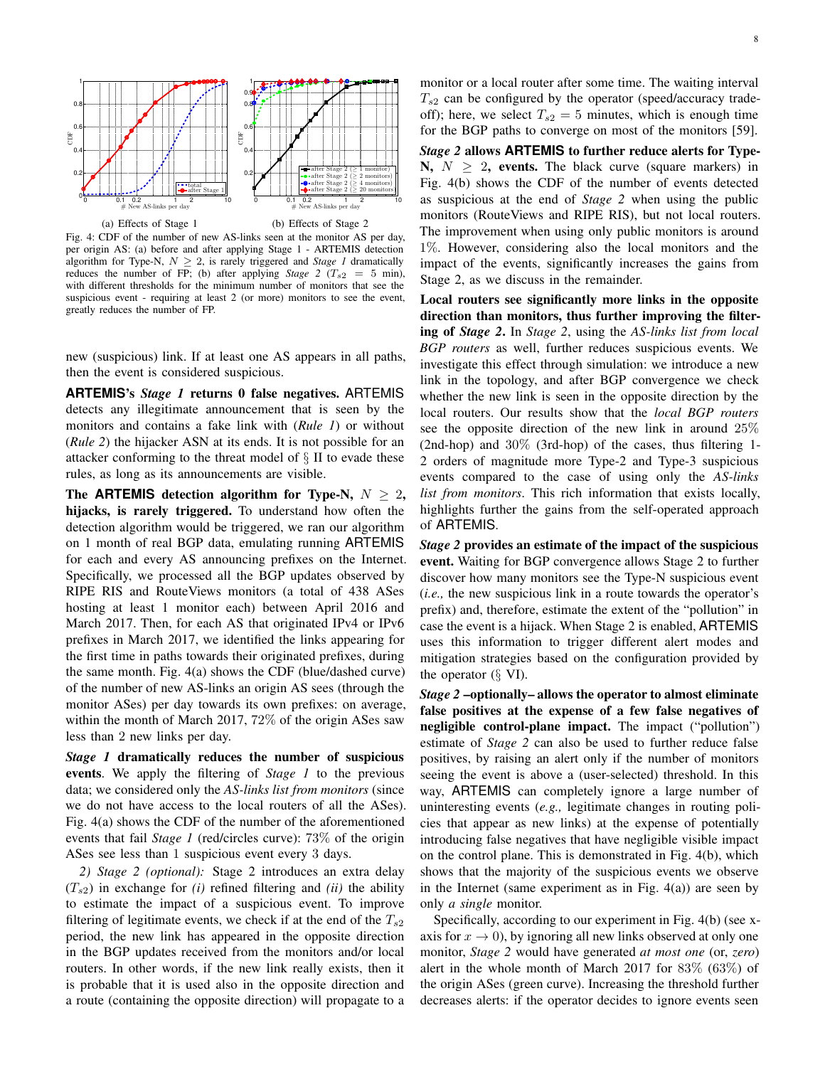

Fig. 4: CDF of the number of new AS-links seen at the monitor AS per day, per origin AS: (a) before and after applying Stage 1 - ARTEMIS detection algorithm for Type-N,  $N \geq 2$ , is rarely triggered and *Stage 1* dramatically reduces the number of FP; (b) after applying *Stage 2* ( $T_{s2}$  = 5 min), with different thresholds for the minimum number of monitors that see the suspicious event - requiring at least 2 (or more) monitors to see the event, greatly reduces the number of FP.

new (suspicious) link. If at least one AS appears in all paths, then the event is considered suspicious.

**ARTEMIS**'s *Stage 1* returns 0 false negatives. ARTEMIS detects any illegitimate announcement that is seen by the monitors and contains a fake link with (*Rule 1*) or without (*Rule 2*) the hijacker ASN at its ends. It is not possible for an attacker conforming to the threat model of  $\S$  II to evade these rules, as long as its announcements are visible.

The **ARTEMIS** detection algorithm for Type-N,  $N \geq 2$ , hijacks, is rarely triggered. To understand how often the detection algorithm would be triggered, we ran our algorithm on 1 month of real BGP data, emulating running ARTEMIS for each and every AS announcing prefixes on the Internet. Specifically, we processed all the BGP updates observed by RIPE RIS and RouteViews monitors (a total of 438 ASes hosting at least 1 monitor each) between April 2016 and March 2017. Then, for each AS that originated IPv4 or IPv6 prefixes in March 2017, we identified the links appearing for the first time in paths towards their originated prefixes, during the same month. Fig. 4(a) shows the CDF (blue/dashed curve) of the number of new AS-links an origin AS sees (through the monitor ASes) per day towards its own prefixes: on average, within the month of March 2017, 72% of the origin ASes saw less than 2 new links per day.

*Stage 1* dramatically reduces the number of suspicious events. We apply the filtering of *Stage 1* to the previous data; we considered only the *AS-links list from monitors* (since we do not have access to the local routers of all the ASes). Fig. 4(a) shows the CDF of the number of the aforementioned events that fail *Stage 1* (red/circles curve): 73% of the origin ASes see less than 1 suspicious event every 3 days.

*2) Stage 2 (optional):* Stage 2 introduces an extra delay  $(T<sub>s2</sub>)$  in exchange for *(i)* refined filtering and *(ii)* the ability to estimate the impact of a suspicious event. To improve filtering of legitimate events, we check if at the end of the  $T_{s2}$ period, the new link has appeared in the opposite direction in the BGP updates received from the monitors and/or local routers. In other words, if the new link really exists, then it is probable that it is used also in the opposite direction and a route (containing the opposite direction) will propagate to a

monitor or a local router after some time. The waiting interval  $T_{s2}$  can be configured by the operator (speed/accuracy tradeoff); here, we select  $T_{s2} = 5$  minutes, which is enough time for the BGP paths to converge on most of the monitors [59].

*Stage 2* allows **ARTEMIS** to further reduce alerts for Type-N,  $N \geq 2$ , events. The black curve (square markers) in Fig. 4(b) shows the CDF of the number of events detected as suspicious at the end of *Stage 2* when using the public monitors (RouteViews and RIPE RIS), but not local routers. The improvement when using only public monitors is around 1%. However, considering also the local monitors and the impact of the events, significantly increases the gains from Stage 2, as we discuss in the remainder.

Local routers see significantly more links in the opposite direction than monitors, thus further improving the filtering of *Stage 2*. In *Stage 2*, using the *AS-links list from local BGP routers* as well, further reduces suspicious events. We investigate this effect through simulation: we introduce a new link in the topology, and after BGP convergence we check whether the new link is seen in the opposite direction by the local routers. Our results show that the *local BGP routers* see the opposite direction of the new link in around 25% (2nd-hop) and 30% (3rd-hop) of the cases, thus filtering 1- 2 orders of magnitude more Type-2 and Type-3 suspicious events compared to the case of using only the *AS-links list from monitors*. This rich information that exists locally, highlights further the gains from the self-operated approach of ARTEMIS.

*Stage 2* provides an estimate of the impact of the suspicious event. Waiting for BGP convergence allows Stage 2 to further discover how many monitors see the Type-N suspicious event (*i.e.,* the new suspicious link in a route towards the operator's prefix) and, therefore, estimate the extent of the "pollution" in case the event is a hijack. When Stage 2 is enabled, ARTEMIS uses this information to trigger different alert modes and mitigation strategies based on the configuration provided by the operator  $(\S$  VI).

*Stage 2* –optionally– allows the operator to almost eliminate false positives at the expense of a few false negatives of negligible control-plane impact. The impact ("pollution") estimate of *Stage 2* can also be used to further reduce false positives, by raising an alert only if the number of monitors seeing the event is above a (user-selected) threshold. In this way, ARTEMIS can completely ignore a large number of uninteresting events (*e.g.,* legitimate changes in routing policies that appear as new links) at the expense of potentially introducing false negatives that have negligible visible impact on the control plane. This is demonstrated in Fig. 4(b), which shows that the majority of the suspicious events we observe in the Internet (same experiment as in Fig. 4(a)) are seen by only *a single* monitor.

Specifically, according to our experiment in Fig. 4(b) (see xaxis for  $x \to 0$ ), by ignoring all new links observed at only one monitor, *Stage 2* would have generated *at most one* (or, *zero*) alert in the whole month of March 2017 for 83% (63%) of the origin ASes (green curve). Increasing the threshold further decreases alerts: if the operator decides to ignore events seen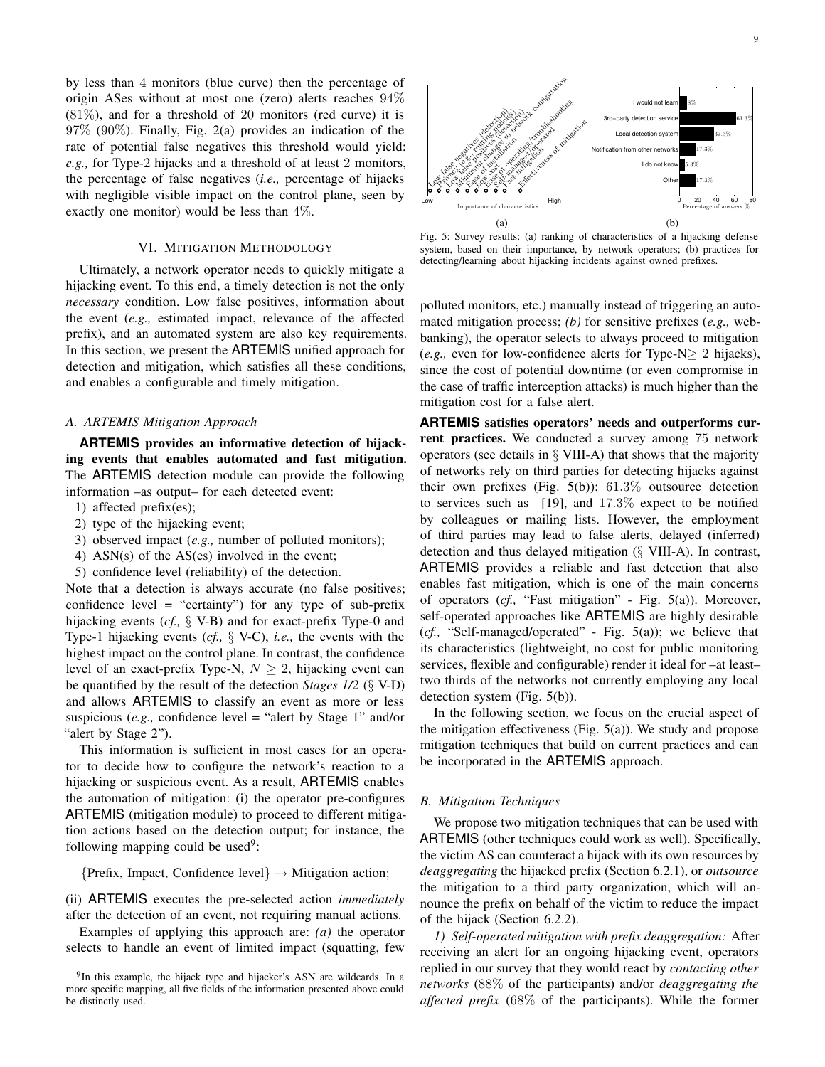by less than 4 monitors (blue curve) then the percentage of origin ASes without at most one (zero) alerts reaches 94%  $(81\%)$ , and for a threshold of 20 monitors (red curve) it is  $97\%$  ( $90\%$ ). Finally, Fig. 2(a) provides an indication of the rate of potential false negatives this threshold would yield: *e.g.,* for Type-2 hijacks and a threshold of at least 2 monitors, the percentage of false negatives (*i.e.,* percentage of hijacks with negligible visible impact on the control plane, seen by exactly one monitor) would be less than 4%.

### VI. MITIGATION METHODOLOGY

Ultimately, a network operator needs to quickly mitigate a hijacking event. To this end, a timely detection is not the only *necessary* condition. Low false positives, information about the event (*e.g.,* estimated impact, relevance of the affected prefix), and an automated system are also key requirements. In this section, we present the ARTEMIS unified approach for detection and mitigation, which satisfies all these conditions, and enables a configurable and timely mitigation.

### *A. ARTEMIS Mitigation Approach*

**ARTEMIS** provides an informative detection of hijacking events that enables automated and fast mitigation. The ARTEMIS detection module can provide the following information –as output– for each detected event:

- 1) affected prefix(es);
- 2) type of the hijacking event;
- 3) observed impact (*e.g.,* number of polluted monitors);
- 4) ASN(s) of the AS(es) involved in the event;
- 5) confidence level (reliability) of the detection.

Note that a detection is always accurate (no false positives; confidence level = "certainty") for any type of sub-prefix hijacking events (*cf.,* § V-B) and for exact-prefix Type-0 and Type-1 hijacking events (*cf.,* § V-C), *i.e.,* the events with the highest impact on the control plane. In contrast, the confidence level of an exact-prefix Type-N,  $N \geq 2$ , hijacking event can be quantified by the result of the detection *Stages 1/2* (§ V-D) and allows ARTEMIS to classify an event as more or less suspicious (*e.g.,* confidence level = "alert by Stage 1" and/or "alert by Stage 2").

This information is sufficient in most cases for an operator to decide how to configure the network's reaction to a hijacking or suspicious event. As a result, ARTEMIS enables the automation of mitigation: (i) the operator pre-configures ARTEMIS (mitigation module) to proceed to different mitigation actions based on the detection output; for instance, the following mapping could be used<sup>9</sup>:

 ${Prefix, Impact, Confidence level} \rightarrow Mitigation action;$ 

(ii) ARTEMIS executes the pre-selected action *immediately* after the detection of an event, not requiring manual actions.

Examples of applying this approach are: *(a)* the operator selects to handle an event of limited impact (squatting, few



Fig. 5: Survey results: (a) ranking of characteristics of a hijacking defense system, based on their importance, by network operators; (b) practices for detecting/learning about hijacking incidents against owned prefixes.

polluted monitors, etc.) manually instead of triggering an automated mitigation process; *(b)* for sensitive prefixes (*e.g.,* webbanking), the operator selects to always proceed to mitigation (*e.g.*, even for low-confidence alerts for Type-N $\geq$  2 hijacks), since the cost of potential downtime (or even compromise in the case of traffic interception attacks) is much higher than the mitigation cost for a false alert.

**ARTEMIS** satisfies operators' needs and outperforms current practices. We conducted a survey among 75 network operators (see details in  $\S$  VIII-A) that shows that the majority of networks rely on third parties for detecting hijacks against their own prefixes (Fig. 5(b)):  $61.3\%$  outsource detection to services such as [19], and 17.3% expect to be notified by colleagues or mailing lists. However, the employment of third parties may lead to false alerts, delayed (inferred) detection and thus delayed mitigation (§ VIII-A). In contrast, ARTEMIS provides a reliable and fast detection that also enables fast mitigation, which is one of the main concerns of operators (*cf.,* "Fast mitigation" - Fig. 5(a)). Moreover, self-operated approaches like ARTEMIS are highly desirable (*cf.,* "Self-managed/operated" - Fig. 5(a)); we believe that its characteristics (lightweight, no cost for public monitoring services, flexible and configurable) render it ideal for –at least– two thirds of the networks not currently employing any local detection system (Fig. 5(b)).

In the following section, we focus on the crucial aspect of the mitigation effectiveness (Fig.  $5(a)$ ). We study and propose mitigation techniques that build on current practices and can be incorporated in the ARTEMIS approach.

### *B. Mitigation Techniques*

We propose two mitigation techniques that can be used with ARTEMIS (other techniques could work as well). Specifically, the victim AS can counteract a hijack with its own resources by *deaggregating* the hijacked prefix (Section 6.2.1), or *outsource* the mitigation to a third party organization, which will announce the prefix on behalf of the victim to reduce the impact of the hijack (Section 6.2.2).

*1) Self-operated mitigation with prefix deaggregation:* After receiving an alert for an ongoing hijacking event, operators replied in our survey that they would react by *contacting other networks* (88% of the participants) and/or *deaggregating the affected prefix* (68% of the participants). While the former

<sup>&</sup>lt;sup>9</sup>In this example, the hijack type and hijacker's ASN are wildcards. In a more specific mapping, all five fields of the information presented above could be distinctly used.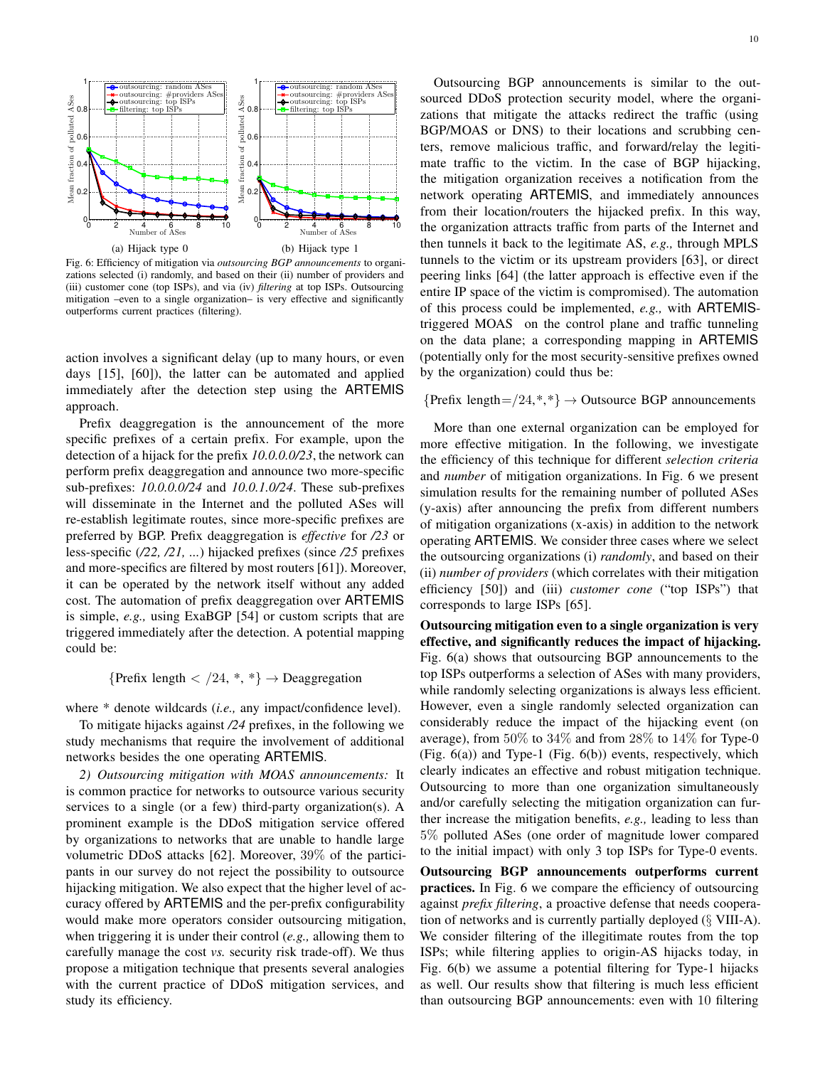

Fig. 6: Efficiency of mitigation via *outsourcing BGP announcements* to organizations selected (i) randomly, and based on their (ii) number of providers and (iii) customer cone (top ISPs), and via (iv) *filtering* at top ISPs. Outsourcing mitigation –even to a single organization– is very effective and significantly outperforms current practices (filtering).

action involves a significant delay (up to many hours, or even days [15], [60]), the latter can be automated and applied immediately after the detection step using the ARTEMIS approach.

Prefix deaggregation is the announcement of the more specific prefixes of a certain prefix. For example, upon the detection of a hijack for the prefix *10.0.0.0/23*, the network can perform prefix deaggregation and announce two more-specific sub-prefixes: *10.0.0.0/24* and *10.0.1.0/24*. These sub-prefixes will disseminate in the Internet and the polluted ASes will re-establish legitimate routes, since more-specific prefixes are preferred by BGP. Prefix deaggregation is *effective* for */23* or less-specific (*/22, /21, ...*) hijacked prefixes (since */25* prefixes and more-specifics are filtered by most routers [61]). Moreover, it can be operated by the network itself without any added cost. The automation of prefix deaggregation over ARTEMIS is simple, *e.g.,* using ExaBGP [54] or custom scripts that are triggered immediately after the detection. A potential mapping could be:

{Prefix length  $\langle 24, *, * \rangle \rightarrow$  Deaggregation

where \* denote wildcards (*i.e.*, any impact/confidence level).

To mitigate hijacks against */24* prefixes, in the following we study mechanisms that require the involvement of additional networks besides the one operating ARTEMIS.

*2) Outsourcing mitigation with MOAS announcements:* It is common practice for networks to outsource various security services to a single (or a few) third-party organization(s). A prominent example is the DDoS mitigation service offered by organizations to networks that are unable to handle large volumetric DDoS attacks [62]. Moreover, 39% of the participants in our survey do not reject the possibility to outsource hijacking mitigation. We also expect that the higher level of accuracy offered by ARTEMIS and the per-prefix configurability would make more operators consider outsourcing mitigation, when triggering it is under their control (*e.g.,* allowing them to carefully manage the cost *vs.* security risk trade-off). We thus propose a mitigation technique that presents several analogies with the current practice of DDoS mitigation services, and study its efficiency.

Outsourcing BGP announcements is similar to the outsourced DDoS protection security model, where the organizations that mitigate the attacks redirect the traffic (using BGP/MOAS or DNS) to their locations and scrubbing centers, remove malicious traffic, and forward/relay the legitimate traffic to the victim. In the case of BGP hijacking, the mitigation organization receives a notification from the network operating ARTEMIS, and immediately announces from their location/routers the hijacked prefix. In this way, the organization attracts traffic from parts of the Internet and then tunnels it back to the legitimate AS, *e.g.,* through MPLS tunnels to the victim or its upstream providers [63], or direct peering links [64] (the latter approach is effective even if the entire IP space of the victim is compromised). The automation of this process could be implemented, *e.g.,* with ARTEMIStriggered MOAS on the control plane and traffic tunneling on the data plane; a corresponding mapping in ARTEMIS (potentially only for the most security-sensitive prefixes owned by the organization) could thus be:

# {Prefix length= $/24$ ,\*,\*}  $\rightarrow$  Outsource BGP announcements

More than one external organization can be employed for more effective mitigation. In the following, we investigate the efficiency of this technique for different *selection criteria* and *number* of mitigation organizations. In Fig. 6 we present simulation results for the remaining number of polluted ASes (y-axis) after announcing the prefix from different numbers of mitigation organizations (x-axis) in addition to the network operating ARTEMIS. We consider three cases where we select the outsourcing organizations (i) *randomly*, and based on their (ii) *number of providers* (which correlates with their mitigation efficiency [50]) and (iii) *customer cone* ("top ISPs") that corresponds to large ISPs [65].

Outsourcing mitigation even to a single organization is very effective, and significantly reduces the impact of hijacking. Fig. 6(a) shows that outsourcing BGP announcements to the top ISPs outperforms a selection of ASes with many providers, while randomly selecting organizations is always less efficient. However, even a single randomly selected organization can considerably reduce the impact of the hijacking event (on average), from  $50\%$  to  $34\%$  and from  $28\%$  to  $14\%$  for Type-0 (Fig. 6(a)) and Type-1 (Fig. 6(b)) events, respectively, which clearly indicates an effective and robust mitigation technique. Outsourcing to more than one organization simultaneously and/or carefully selecting the mitigation organization can further increase the mitigation benefits, *e.g.,* leading to less than 5% polluted ASes (one order of magnitude lower compared to the initial impact) with only 3 top ISPs for Type-0 events.

Outsourcing BGP announcements outperforms current practices. In Fig. 6 we compare the efficiency of outsourcing against *prefix filtering*, a proactive defense that needs cooperation of networks and is currently partially deployed (§ VIII-A). We consider filtering of the illegitimate routes from the top ISPs; while filtering applies to origin-AS hijacks today, in Fig. 6(b) we assume a potential filtering for Type-1 hijacks as well. Our results show that filtering is much less efficient than outsourcing BGP announcements: even with 10 filtering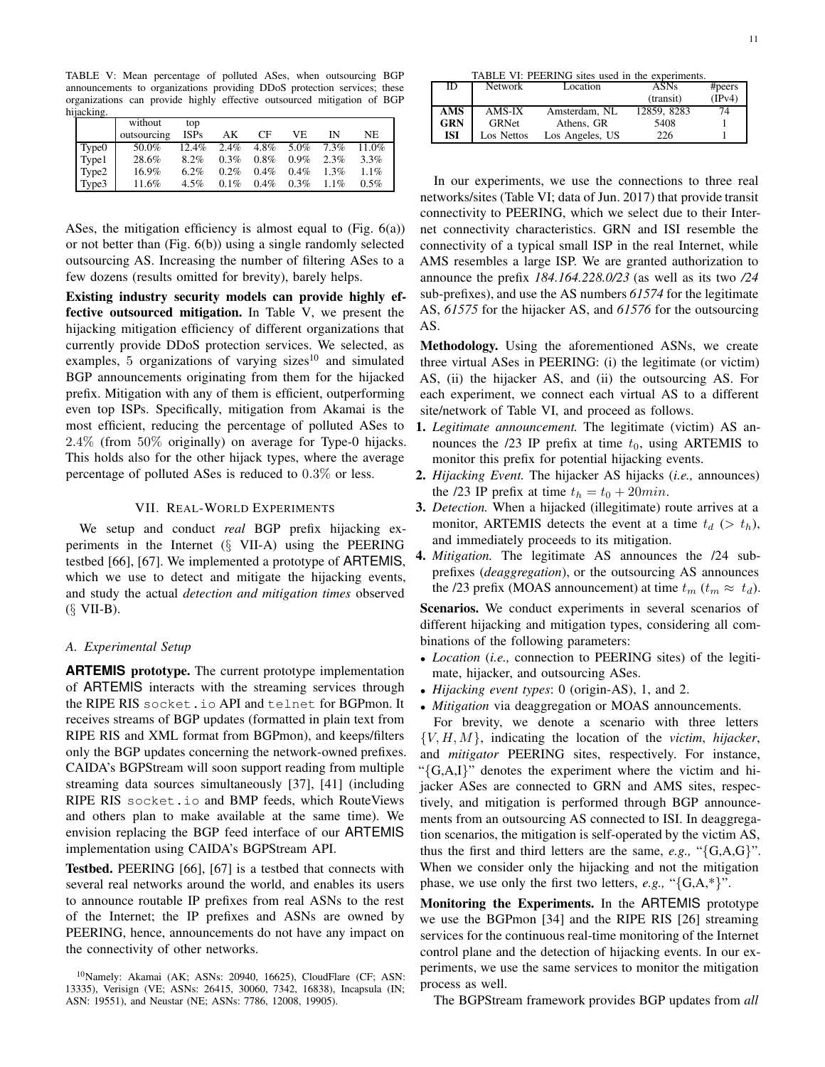TABLE V: Mean percentage of polluted ASes, when outsourcing BGP announcements to organizations providing DDoS protection services; these organizations can provide highly effective outsourced mitigation of BGP hijacking.

|                   | without<br>outsourcing | top<br><b>ISPs</b> | AΚ      | CF      | VE      | IN      | NE.     |
|-------------------|------------------------|--------------------|---------|---------|---------|---------|---------|
| Type <sub>0</sub> | 50.0%                  | 12.4%              | $2.4\%$ | 4.8%    | 5.0%    | 7.3%    | 11.0\%  |
| Type1             | 28.6%                  | 8.2%               | 0.3%    | 0.8%    | $0.9\%$ | 2.3%    | $3.3\%$ |
| Type2             | 16.9%                  | $6.2\%$            | 0.2%    | 0.4%    | $0.4\%$ | 1.3%    | 1.1%    |
| Type3             | 11.6%                  | 4.5%               | $0.1\%$ | $0.4\%$ | 0.3%    | $1.1\%$ | 0.5%    |

ASes, the mitigation efficiency is almost equal to (Fig. 6(a)) or not better than (Fig. 6(b)) using a single randomly selected outsourcing AS. Increasing the number of filtering ASes to a few dozens (results omitted for brevity), barely helps.

Existing industry security models can provide highly effective outsourced mitigation. In Table V, we present the hijacking mitigation efficiency of different organizations that currently provide DDoS protection services. We selected, as examples, 5 organizations of varying sizes<sup>10</sup> and simulated BGP announcements originating from them for the hijacked prefix. Mitigation with any of them is efficient, outperforming even top ISPs. Specifically, mitigation from Akamai is the most efficient, reducing the percentage of polluted ASes to 2.4% (from 50% originally) on average for Type-0 hijacks. This holds also for the other hijack types, where the average percentage of polluted ASes is reduced to 0.3% or less.

### VII. REAL-WORLD EXPERIMENTS

We setup and conduct *real* BGP prefix hijacking experiments in the Internet  $(\S$  VII-A) using the PEERING testbed [66], [67]. We implemented a prototype of ARTEMIS, which we use to detect and mitigate the hijacking events, and study the actual *detection and mitigation times* observed  $(\S$  VII-B).

### *A. Experimental Setup*

**ARTEMIS** prototype. The current prototype implementation of ARTEMIS interacts with the streaming services through the RIPE RIS socket.io API and telnet for BGPmon. It receives streams of BGP updates (formatted in plain text from RIPE RIS and XML format from BGPmon), and keeps/filters only the BGP updates concerning the network-owned prefixes. CAIDA's BGPStream will soon support reading from multiple streaming data sources simultaneously [37], [41] (including RIPE RIS socket.io and BMP feeds, which RouteViews and others plan to make available at the same time). We envision replacing the BGP feed interface of our ARTEMIS implementation using CAIDA's BGPStream API.

Testbed. PEERING [66], [67] is a testbed that connects with several real networks around the world, and enables its users to announce routable IP prefixes from real ASNs to the rest of the Internet; the IP prefixes and ASNs are owned by PEERING, hence, announcements do not have any impact on the connectivity of other networks.

| ID         | <b>Network</b> | Location        | ASNs        | #peers |
|------------|----------------|-----------------|-------------|--------|
|            |                |                 | (transit)   | (IPv4) |
| AMS        | AMS-IX         | Amsterdam, NL   | 12859, 8283 | 74     |
| <b>GRN</b> | <b>GRNet</b>   | Athens, GR      | 5408        |        |
| ISI        | Los Nettos     | Los Angeles, US | 226         |        |

In our experiments, we use the connections to three real networks/sites (Table VI; data of Jun. 2017) that provide transit connectivity to PEERING, which we select due to their Internet connectivity characteristics. GRN and ISI resemble the connectivity of a typical small ISP in the real Internet, while AMS resembles a large ISP. We are granted authorization to announce the prefix *184.164.228.0/23* (as well as its two */24* sub-prefixes), and use the AS numbers *61574* for the legitimate AS, *61575* for the hijacker AS, and *61576* for the outsourcing AS.

Methodology. Using the aforementioned ASNs, we create three virtual ASes in PEERING: (i) the legitimate (or victim) AS, (ii) the hijacker AS, and (ii) the outsourcing AS. For each experiment, we connect each virtual AS to a different site/network of Table VI, and proceed as follows.

- 1. *Legitimate announcement.* The legitimate (victim) AS announces the /23 IP prefix at time  $t_0$ , using ARTEMIS to monitor this prefix for potential hijacking events.
- 2. *Hijacking Event.* The hijacker AS hijacks (*i.e.,* announces) the /23 IP prefix at time  $t_h = t_0 + 20min$ .
- 3. *Detection.* When a hijacked (illegitimate) route arrives at a monitor, ARTEMIS detects the event at a time  $t_d$  (>  $t_h$ ), and immediately proceeds to its mitigation.
- 4. *Mitigation.* The legitimate AS announces the /24 subprefixes (*deaggregation*), or the outsourcing AS announces the /23 prefix (MOAS announcement) at time  $t_m$  ( $t_m \approx t_d$ ).

Scenarios. We conduct experiments in several scenarios of different hijacking and mitigation types, considering all combinations of the following parameters:

- *Location* (*i.e.,* connection to PEERING sites) of the legitimate, hijacker, and outsourcing ASes.
- *Hijacking event types*: 0 (origin-AS), 1, and 2.
- *Mitigation* via deaggregation or MOAS announcements.

For brevity, we denote a scenario with three letters {V, H, M}, indicating the location of the *victim*, *hijacker*, and *mitigator* PEERING sites, respectively. For instance, "{G,A,I}" denotes the experiment where the victim and hijacker ASes are connected to GRN and AMS sites, respectively, and mitigation is performed through BGP announcements from an outsourcing AS connected to ISI. In deaggregation scenarios, the mitigation is self-operated by the victim AS, thus the first and third letters are the same, *e.g.,* "{G,A,G}". When we consider only the hijacking and not the mitigation phase, we use only the first two letters,  $e.g.,$  "{ $G,A,*$ }".

Monitoring the Experiments. In the ARTEMIS prototype we use the BGPmon [34] and the RIPE RIS [26] streaming services for the continuous real-time monitoring of the Internet control plane and the detection of hijacking events. In our experiments, we use the same services to monitor the mitigation process as well.

The BGPStream framework provides BGP updates from *all*

<sup>10</sup>Namely: Akamai (AK; ASNs: 20940, 16625), CloudFlare (CF; ASN: 13335), Verisign (VE; ASNs: 26415, 30060, 7342, 16838), Incapsula (IN; ASN: 19551), and Neustar (NE; ASNs: 7786, 12008, 19905).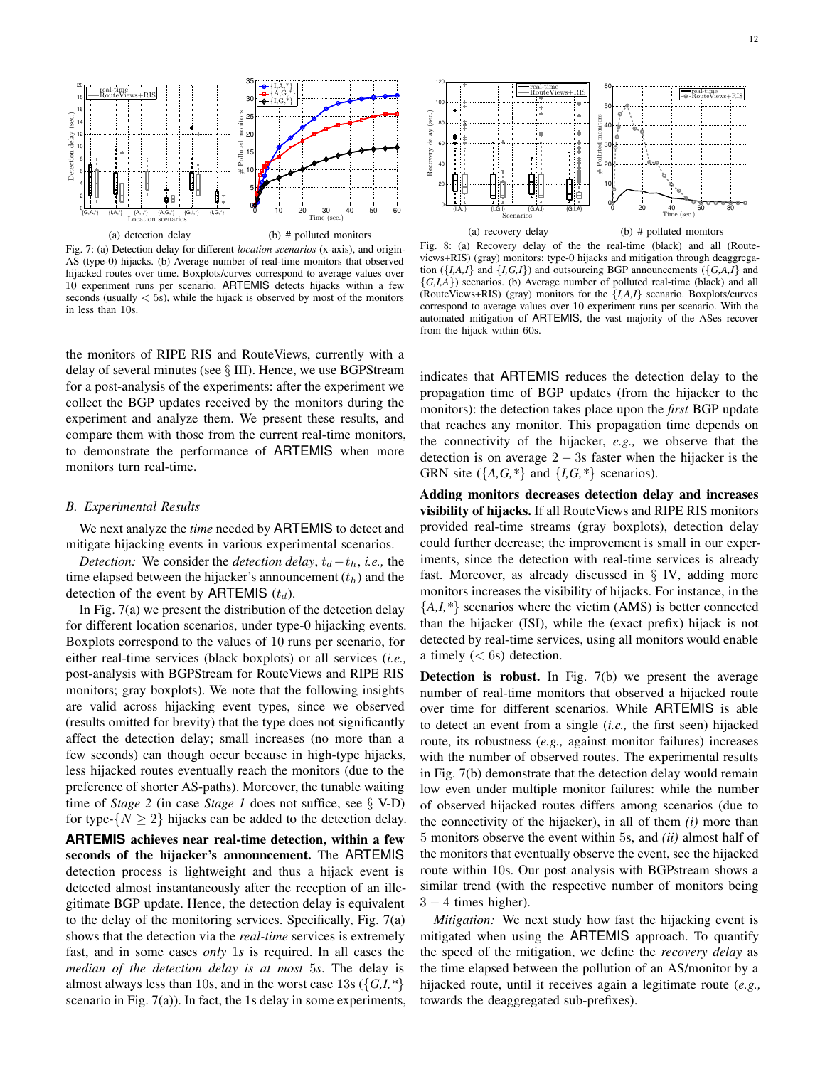

Fig. 7: (a) Detection delay for different *location scenarios* (x-axis), and origin-AS (type-0) hijacks. (b) Average number of real-time monitors that observed hijacked routes over time. Boxplots/curves correspond to average values over 10 experiment runs per scenario. ARTEMIS detects hijacks within a few seconds (usually  $<$  5s), while the hijack is observed by most of the monitors in less than 10s.

the monitors of RIPE RIS and RouteViews, currently with a delay of several minutes (see  $\S$  III). Hence, we use BGPStream for a post-analysis of the experiments: after the experiment we collect the BGP updates received by the monitors during the experiment and analyze them. We present these results, and compare them with those from the current real-time monitors, to demonstrate the performance of ARTEMIS when more monitors turn real-time.

### *B. Experimental Results*

We next analyze the *time* needed by ARTEMIS to detect and mitigate hijacking events in various experimental scenarios.

*Detection:* We consider the *detection delay*,  $t_d - t_h$ , *i.e.*, the time elapsed between the hijacker's announcement  $(t_h)$  and the detection of the event by ARTEMIS  $(t_d)$ .

In Fig. 7(a) we present the distribution of the detection delay for different location scenarios, under type-0 hijacking events. Boxplots correspond to the values of 10 runs per scenario, for either real-time services (black boxplots) or all services (*i.e.,* post-analysis with BGPStream for RouteViews and RIPE RIS monitors; gray boxplots). We note that the following insights are valid across hijacking event types, since we observed (results omitted for brevity) that the type does not significantly affect the detection delay; small increases (no more than a few seconds) can though occur because in high-type hijacks, less hijacked routes eventually reach the monitors (due to the preference of shorter AS-paths). Moreover, the tunable waiting time of *Stage 2* (in case *Stage 1* does not suffice, see § V-D) for type- $\{N \geq 2\}$  hijacks can be added to the detection delay.

**ARTEMIS** achieves near real-time detection, within a few seconds of the hijacker's announcement. The ARTEMIS detection process is lightweight and thus a hijack event is detected almost instantaneously after the reception of an illegitimate BGP update. Hence, the detection delay is equivalent to the delay of the monitoring services. Specifically, Fig. 7(a) shows that the detection via the *real-time* services is extremely fast, and in some cases *only* 1*s* is required. In all cases the *median of the detection delay is at most* 5*s*. The delay is almost always less than 10s, and in the worst case 13s ({*G,I,\**} scenario in Fig. 7(a)). In fact, the 1s delay in some experiments,



Fig. 8: (a) Recovery delay of the the real-time (black) and all (Routeviews+RIS) (gray) monitors; type-0 hijacks and mitigation through deaggregation  $({I, A, I}$  and  ${I, G, I}$ ) and outsourcing BGP announcements  $({G, A, I}$  and {*G,I,A*}) scenarios. (b) Average number of polluted real-time (black) and all (RouteViews+RIS) (gray) monitors for the {*I,A,I*} scenario. Boxplots/curves correspond to average values over 10 experiment runs per scenario. With the automated mitigation of ARTEMIS, the vast majority of the ASes recover from the hijack within 60s.

indicates that ARTEMIS reduces the detection delay to the propagation time of BGP updates (from the hijacker to the monitors): the detection takes place upon the *first* BGP update that reaches any monitor. This propagation time depends on the connectivity of the hijacker, *e.g.,* we observe that the detection is on average  $2 - 3s$  faster when the hijacker is the GRN site  $({A, G, * }$  and  ${I, G, * }$  scenarios).

Adding monitors decreases detection delay and increases visibility of hijacks. If all RouteViews and RIPE RIS monitors provided real-time streams (gray boxplots), detection delay could further decrease; the improvement is small in our experiments, since the detection with real-time services is already fast. Moreover, as already discussed in § IV, adding more monitors increases the visibility of hijacks. For instance, in the {*A,I,\**} scenarios where the victim (AMS) is better connected than the hijacker (ISI), while the (exact prefix) hijack is not detected by real-time services, using all monitors would enable a timely  $(< 6s)$  detection.

Detection is robust. In Fig. 7(b) we present the average number of real-time monitors that observed a hijacked route over time for different scenarios. While ARTEMIS is able to detect an event from a single (*i.e.,* the first seen) hijacked route, its robustness (*e.g.,* against monitor failures) increases with the number of observed routes. The experimental results in Fig. 7(b) demonstrate that the detection delay would remain low even under multiple monitor failures: while the number of observed hijacked routes differs among scenarios (due to the connectivity of the hijacker), in all of them *(i)* more than 5 monitors observe the event within 5s, and *(ii)* almost half of the monitors that eventually observe the event, see the hijacked route within 10s. Our post analysis with BGPstream shows a similar trend (with the respective number of monitors being  $3 - 4$  times higher).

*Mitigation:* We next study how fast the hijacking event is mitigated when using the ARTEMIS approach. To quantify the speed of the mitigation, we define the *recovery delay* as the time elapsed between the pollution of an AS/monitor by a hijacked route, until it receives again a legitimate route (*e.g.,* towards the deaggregated sub-prefixes).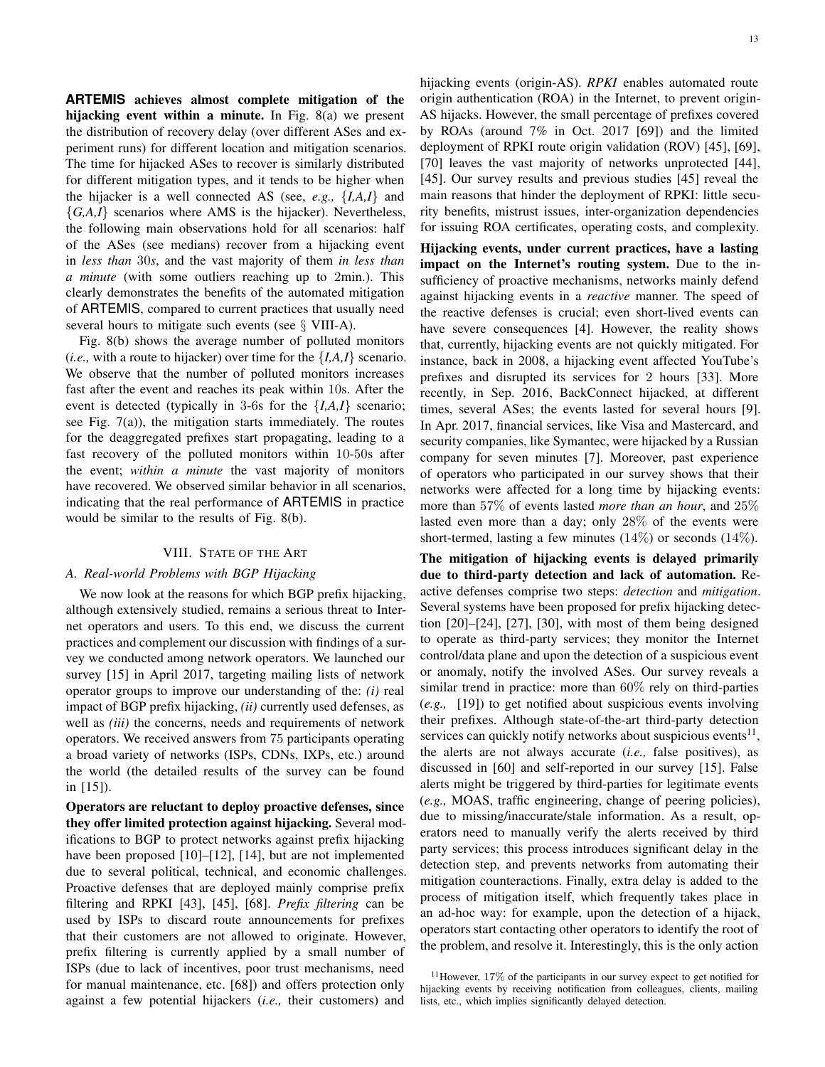**ARTEMIS** achieves almost complete mitigation of the hijacking event within a minute. In Fig. 8(a) we present the distribution of recovery delay (over different ASes and experiment runs) for different location and mitigation scenarios. The time for hijacked ASes to recover is similarly distributed for different mitigation types, and it tends to be higher when the hijacker is a well connected AS (see, *e.g.,* {*I,A,I*} and  ${G,A,I}$  scenarios where AMS is the hijacker). Nevertheless, the following main observations hold for all scenarios: half of the ASes (see medians) recover from a hijacking event in *less than* 30*s*, and the vast majority of them *in less than a minute* (with some outliers reaching up to 2min.). This clearly demonstrates the benefits of the automated mitigation of ARTEMIS, compared to current practices that usually need several hours to mitigate such events (see § VIII-A).

Fig. 8(b) shows the average number of polluted monitors (*i.e.,* with a route to hijacker) over time for the {*I,A,I*} scenario. We observe that the number of polluted monitors increases fast after the event and reaches its peak within 10s. After the event is detected (typically in 3-6s for the {*I,A,I*} scenario; see Fig. 7(a)), the mitigation starts immediately. The routes for the deaggregated prefixes start propagating, leading to a fast recovery of the polluted monitors within 10-50s after the event; *within a minute* the vast majority of monitors have recovered. We observed similar behavior in all scenarios, indicating that the real performance of ARTEMIS in practice would be similar to the results of Fig. 8(b).

### VIII. STATE OF THE ART

### *A. Real-world Problems with BGP Hijacking*

We now look at the reasons for which BGP prefix hijacking, although extensively studied, remains a serious threat to Internet operators and users. To this end, we discuss the current practices and complement our discussion with findings of a survey we conducted among network operators. We launched our survey [15] in April 2017, targeting mailing lists of network operator groups to improve our understanding of the: *(i)* real impact of BGP prefix hijacking, *(ii)* currently used defenses, as well as *(iii)* the concerns, needs and requirements of network operators. We received answers from 75 participants operating a broad variety of networks (ISPs, CDNs, IXPs, etc.) around the world (the detailed results of the survey can be found in [15]).

Operators are reluctant to deploy proactive defenses, since they offer limited protection against hijacking. Several modifications to BGP to protect networks against prefix hijacking have been proposed [10]–[12], [14], but are not implemented due to several political, technical, and economic challenges. Proactive defenses that are deployed mainly comprise prefix filtering and RPKI [43], [45], [68]. *Prefix filtering* can be used by ISPs to discard route announcements for prefixes that their customers are not allowed to originate. However, prefix filtering is currently applied by a small number of ISPs (due to lack of incentives, poor trust mechanisms, need for manual maintenance, etc. [68]) and offers protection only against a few potential hijackers (*i.e.,* their customers) and

hijacking events (origin-AS). *RPKI* enables automated route origin authentication (ROA) in the Internet, to prevent origin-AS hijacks. However, the small percentage of prefixes covered by ROAs (around 7% in Oct. 2017 [69]) and the limited deployment of RPKI route origin validation (ROV) [45], [69], [70] leaves the vast majority of networks unprotected [44], [45]. Our survey results and previous studies [45] reveal the main reasons that hinder the deployment of RPKI: little security benefits, mistrust issues, inter-organization dependencies for issuing ROA certificates, operating costs, and complexity.

Hijacking events, under current practices, have a lasting impact on the Internet's routing system. Due to the insufficiency of proactive mechanisms, networks mainly defend against hijacking events in a *reactive* manner. The speed of the reactive defenses is crucial; even short-lived events can have severe consequences [4]. However, the reality shows that, currently, hijacking events are not quickly mitigated. For instance, back in 2008, a hijacking event affected YouTube's prefixes and disrupted its services for 2 hours [33]. More recently, in Sep. 2016, BackConnect hijacked, at different times, several ASes; the events lasted for several hours [9]. In Apr. 2017, financial services, like Visa and Mastercard, and security companies, like Symantec, were hijacked by a Russian company for seven minutes [7]. Moreover, past experience of operators who participated in our survey shows that their networks were affected for a long time by hijacking events: more than 57% of events lasted *more than an hour*, and 25% lasted even more than a day; only 28% of the events were short-termed, lasting a few minutes (14%) or seconds (14%).

The mitigation of hijacking events is delayed primarily due to third-party detection and lack of automation. Reactive defenses comprise two steps: *detection* and *mitigation*. Several systems have been proposed for prefix hijacking detection [20]–[24], [27], [30], with most of them being designed to operate as third-party services; they monitor the Internet control/data plane and upon the detection of a suspicious event or anomaly, notify the involved ASes. Our survey reveals a similar trend in practice: more than 60% rely on third-parties (*e.g.,* [19]) to get notified about suspicious events involving their prefixes. Although state-of-the-art third-party detection services can quickly notify networks about suspicious events $11$ , the alerts are not always accurate (*i.e.,* false positives), as discussed in [60] and self-reported in our survey [15]. False alerts might be triggered by third-parties for legitimate events (*e.g.,* MOAS, traffic engineering, change of peering policies), due to missing/inaccurate/stale information. As a result, operators need to manually verify the alerts received by third party services; this process introduces significant delay in the detection step, and prevents networks from automating their mitigation counteractions. Finally, extra delay is added to the process of mitigation itself, which frequently takes place in an ad-hoc way: for example, upon the detection of a hijack, operators start contacting other operators to identify the root of the problem, and resolve it. Interestingly, this is the only action

<sup>11</sup>However, 17% of the participants in our survey expect to get notified for hijacking events by receiving notification from colleagues, clients, mailing lists, etc., which implies significantly delayed detection.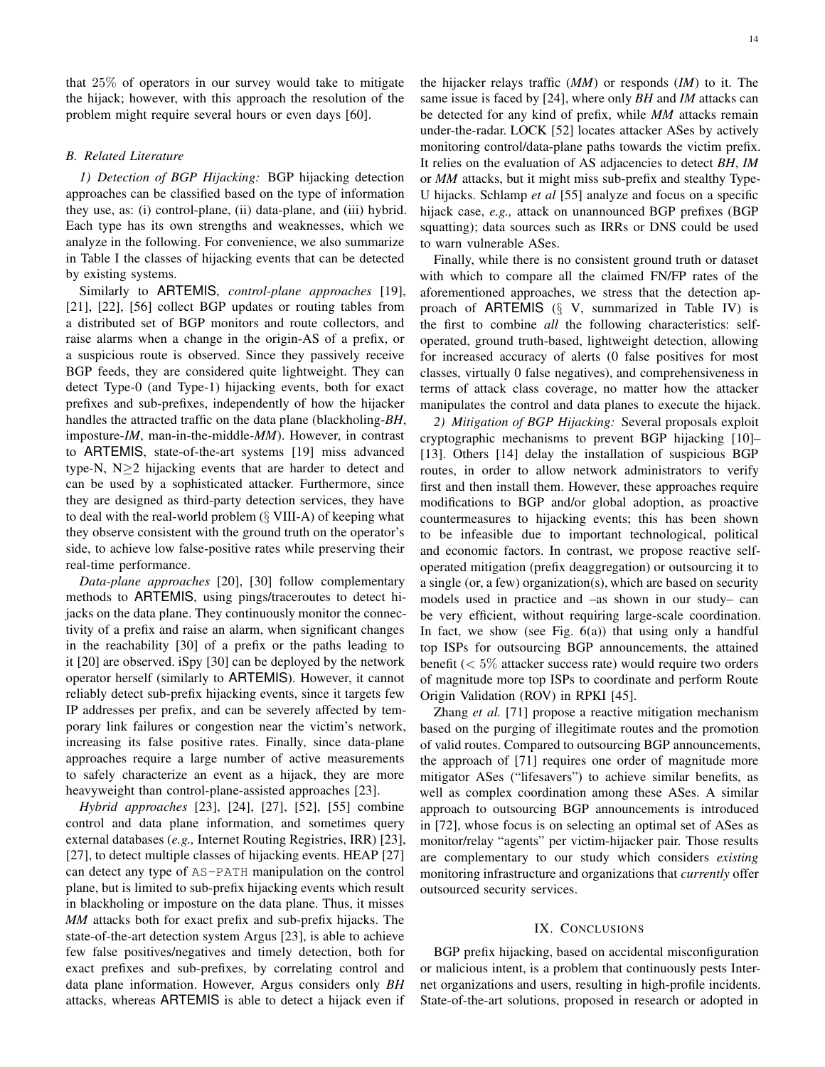that 25% of operators in our survey would take to mitigate the hijack; however, with this approach the resolution of the problem might require several hours or even days [60].

### *B. Related Literature*

*1) Detection of BGP Hijacking:* BGP hijacking detection approaches can be classified based on the type of information they use, as: (i) control-plane, (ii) data-plane, and (iii) hybrid. Each type has its own strengths and weaknesses, which we analyze in the following. For convenience, we also summarize in Table I the classes of hijacking events that can be detected by existing systems.

Similarly to ARTEMIS, *control-plane approaches* [19], [21], [22], [56] collect BGP updates or routing tables from a distributed set of BGP monitors and route collectors, and raise alarms when a change in the origin-AS of a prefix, or a suspicious route is observed. Since they passively receive BGP feeds, they are considered quite lightweight. They can detect Type-0 (and Type-1) hijacking events, both for exact prefixes and sub-prefixes, independently of how the hijacker handles the attracted traffic on the data plane (blackholing-*BH*, imposture-*IM*, man-in-the-middle-*MM*). However, in contrast to ARTEMIS, state-of-the-art systems [19] miss advanced type-N,  $N \geq 2$  hijacking events that are harder to detect and can be used by a sophisticated attacker. Furthermore, since they are designed as third-party detection services, they have to deal with the real-world problem  $(\S$  VIII-A) of keeping what they observe consistent with the ground truth on the operator's side, to achieve low false-positive rates while preserving their real-time performance.

*Data-plane approaches* [20], [30] follow complementary methods to ARTEMIS, using pings/traceroutes to detect hijacks on the data plane. They continuously monitor the connectivity of a prefix and raise an alarm, when significant changes in the reachability [30] of a prefix or the paths leading to it [20] are observed. iSpy [30] can be deployed by the network operator herself (similarly to ARTEMIS). However, it cannot reliably detect sub-prefix hijacking events, since it targets few IP addresses per prefix, and can be severely affected by temporary link failures or congestion near the victim's network, increasing its false positive rates. Finally, since data-plane approaches require a large number of active measurements to safely characterize an event as a hijack, they are more heavyweight than control-plane-assisted approaches [23].

*Hybrid approaches* [23], [24], [27], [52], [55] combine control and data plane information, and sometimes query external databases (*e.g.,* Internet Routing Registries, IRR) [23], [27], to detect multiple classes of hijacking events. HEAP [27] can detect any type of AS-PATH manipulation on the control plane, but is limited to sub-prefix hijacking events which result in blackholing or imposture on the data plane. Thus, it misses *MM* attacks both for exact prefix and sub-prefix hijacks. The state-of-the-art detection system Argus [23], is able to achieve few false positives/negatives and timely detection, both for exact prefixes and sub-prefixes, by correlating control and data plane information. However, Argus considers only *BH* attacks, whereas ARTEMIS is able to detect a hijack even if the hijacker relays traffic (*MM*) or responds (*IM*) to it. The same issue is faced by [24], where only *BH* and *IM* attacks can be detected for any kind of prefix, while *MM* attacks remain under-the-radar. LOCK [52] locates attacker ASes by actively monitoring control/data-plane paths towards the victim prefix. It relies on the evaluation of AS adjacencies to detect *BH*, *IM* or *MM* attacks, but it might miss sub-prefix and stealthy Type-U hijacks. Schlamp *et al* [55] analyze and focus on a specific hijack case, *e.g.,* attack on unannounced BGP prefixes (BGP squatting); data sources such as IRRs or DNS could be used to warn vulnerable ASes.

Finally, while there is no consistent ground truth or dataset with which to compare all the claimed FN/FP rates of the aforementioned approaches, we stress that the detection approach of ARTEMIS  $(\S$  V, summarized in Table IV) is the first to combine *all* the following characteristics: selfoperated, ground truth-based, lightweight detection, allowing for increased accuracy of alerts (0 false positives for most classes, virtually 0 false negatives), and comprehensiveness in terms of attack class coverage, no matter how the attacker manipulates the control and data planes to execute the hijack.

*2) Mitigation of BGP Hijacking:* Several proposals exploit cryptographic mechanisms to prevent BGP hijacking [10]– [13]. Others [14] delay the installation of suspicious BGP routes, in order to allow network administrators to verify first and then install them. However, these approaches require modifications to BGP and/or global adoption, as proactive countermeasures to hijacking events; this has been shown to be infeasible due to important technological, political and economic factors. In contrast, we propose reactive selfoperated mitigation (prefix deaggregation) or outsourcing it to a single (or, a few) organization(s), which are based on security models used in practice and –as shown in our study– can be very efficient, without requiring large-scale coordination. In fact, we show (see Fig.  $6(a)$ ) that using only a handful top ISPs for outsourcing BGP announcements, the attained benefit  $(< 5\%$  attacker success rate) would require two orders of magnitude more top ISPs to coordinate and perform Route Origin Validation (ROV) in RPKI [45].

Zhang *et al.* [71] propose a reactive mitigation mechanism based on the purging of illegitimate routes and the promotion of valid routes. Compared to outsourcing BGP announcements, the approach of [71] requires one order of magnitude more mitigator ASes ("lifesavers") to achieve similar benefits, as well as complex coordination among these ASes. A similar approach to outsourcing BGP announcements is introduced in [72], whose focus is on selecting an optimal set of ASes as monitor/relay "agents" per victim-hijacker pair. Those results are complementary to our study which considers *existing* monitoring infrastructure and organizations that *currently* offer outsourced security services.

### IX. CONCLUSIONS

BGP prefix hijacking, based on accidental misconfiguration or malicious intent, is a problem that continuously pests Internet organizations and users, resulting in high-profile incidents. State-of-the-art solutions, proposed in research or adopted in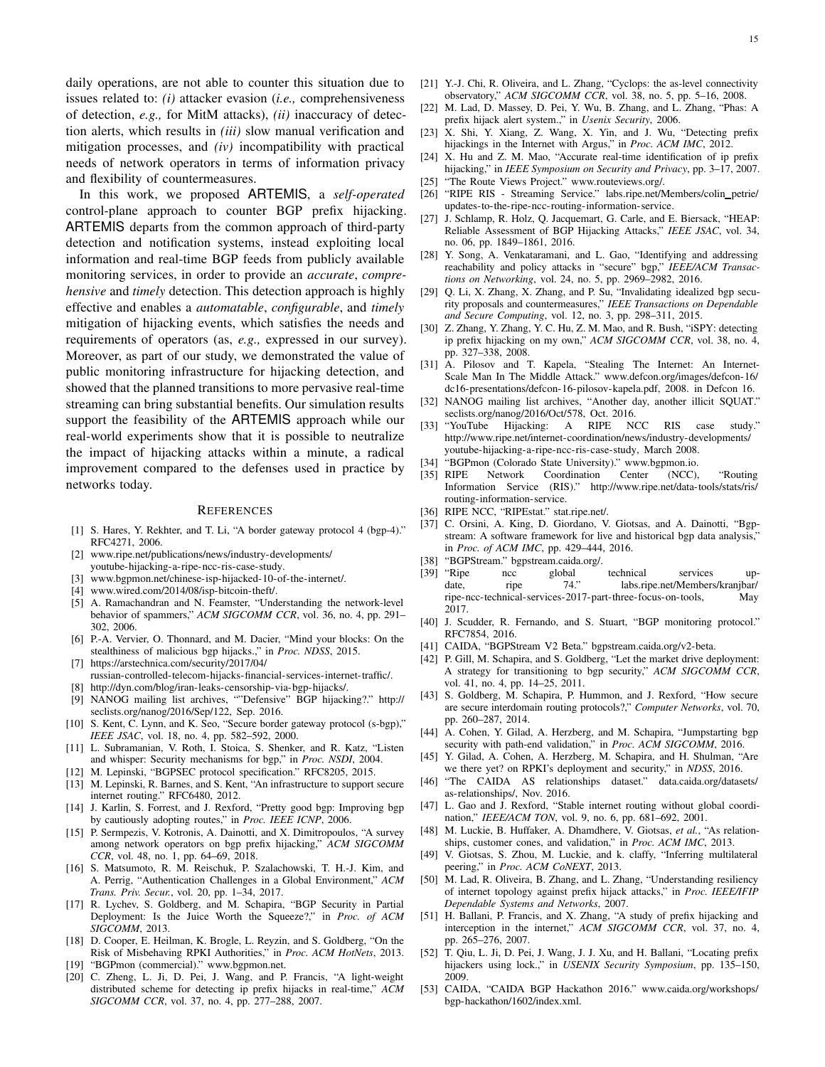daily operations, are not able to counter this situation due to issues related to: *(i)* attacker evasion (*i.e.,* comprehensiveness of detection, *e.g.,* for MitM attacks), *(ii)* inaccuracy of detection alerts, which results in *(iii)* slow manual verification and mitigation processes, and *(iv)* incompatibility with practical needs of network operators in terms of information privacy and flexibility of countermeasures.

In this work, we proposed ARTEMIS, a *self-operated* control-plane approach to counter BGP prefix hijacking. ARTEMIS departs from the common approach of third-party detection and notification systems, instead exploiting local information and real-time BGP feeds from publicly available monitoring services, in order to provide an *accurate*, *comprehensive* and *timely* detection. This detection approach is highly effective and enables a *automatable*, *configurable*, and *timely* mitigation of hijacking events, which satisfies the needs and requirements of operators (as, *e.g.,* expressed in our survey). Moreover, as part of our study, we demonstrated the value of public monitoring infrastructure for hijacking detection, and showed that the planned transitions to more pervasive real-time streaming can bring substantial benefits. Our simulation results support the feasibility of the ARTEMIS approach while our real-world experiments show that it is possible to neutralize the impact of hijacking attacks within a minute, a radical improvement compared to the defenses used in practice by networks today.

### **REFERENCES**

- [1] S. Hares, Y. Rekhter, and T. Li, "A border gateway protocol 4 (bgp-4)." RFC4271, 2006.
- [2] www.ripe.net/publications/news/industry-developments/ youtube-hijacking-a-ripe-ncc-ris-case-study.
- [3] www.bgpmon.net/chinese-isp-hijacked-10-of-the-internet/.
- [4] www.wired.com/2014/08/isp-bitcoin-theft/.
- [5] A. Ramachandran and N. Feamster, "Understanding the network-level behavior of spammers," *ACM SIGCOMM CCR*, vol. 36, no. 4, pp. 291– 302, 2006.
- [6] P.-A. Vervier, O. Thonnard, and M. Dacier, "Mind your blocks: On the stealthiness of malicious bgp hijacks.," in *Proc. NDSS*, 2015.
- [7] https://arstechnica.com/security/2017/04/ russian-controlled-telecom-hijacks-financial-services-internet-traffic/.
- [8] http://dyn.com/blog/iran-leaks-censorship-via-bgp-hijacks/.
- [9] NANOG mailing list archives, ""Defensive" BGP hijacking?." http:// seclists.org/nanog/2016/Sep/122, Sep. 2016.
- [10] S. Kent, C. Lynn, and K. Seo, "Secure border gateway protocol (s-bgp)," *IEEE JSAC*, vol. 18, no. 4, pp. 582–592, 2000.
- [11] L. Subramanian, V. Roth, I. Stoica, S. Shenker, and R. Katz, "Listen and whisper: Security mechanisms for bgp," in *Proc. NSDI*, 2004.
- [12] M. Lepinski, "BGPSEC protocol specification." RFC8205, 2015.
- [13] M. Lepinski, R. Barnes, and S. Kent, "An infrastructure to support secure internet routing." RFC6480, 2012.
- [14] J. Karlin, S. Forrest, and J. Rexford, "Pretty good bgp: Improving bgp by cautiously adopting routes," in *Proc. IEEE ICNP*, 2006.
- [15] P. Sermpezis, V. Kotronis, A. Dainotti, and X. Dimitropoulos, "A survey among network operators on bgp prefix hijacking," *ACM SIGCOMM CCR*, vol. 48, no. 1, pp. 64–69, 2018.
- [16] S. Matsumoto, R. M. Reischuk, P. Szalachowski, T. H.-J. Kim, and A. Perrig, "Authentication Challenges in a Global Environment," *ACM Trans. Priv. Secur.*, vol. 20, pp. 1–34, 2017.
- [17] R. Lychev, S. Goldberg, and M. Schapira, "BGP Security in Partial Deployment: Is the Juice Worth the Squeeze?," in *Proc. of ACM SIGCOMM*, 2013.
- [18] D. Cooper, E. Heilman, K. Brogle, L. Reyzin, and S. Goldberg, "On the Risk of Misbehaving RPKI Authorities," in *Proc. ACM HotNets*, 2013.
- [19] "BGPmon (commercial)." www.bgpmon.net.
- [20] C. Zheng, L. Ji, D. Pei, J. Wang, and P. Francis, "A light-weight distributed scheme for detecting ip prefix hijacks in real-time," *ACM SIGCOMM CCR*, vol. 37, no. 4, pp. 277–288, 2007.
- [21] Y.-J. Chi, R. Oliveira, and L. Zhang, "Cyclops: the as-level connectivity observatory," *ACM SIGCOMM CCR*, vol. 38, no. 5, pp. 5–16, 2008.
- [22] M. Lad, D. Massey, D. Pei, Y. Wu, B. Zhang, and L. Zhang, "Phas: A prefix hijack alert system.," in *Usenix Security*, 2006.
- [23] X. Shi, Y. Xiang, Z. Wang, X. Yin, and J. Wu, "Detecting prefix hijackings in the Internet with Argus," in *Proc. ACM IMC*, 2012.
- [24] X. Hu and Z. M. Mao, "Accurate real-time identification of ip prefix hijacking," in *IEEE Symposium on Security and Privacy*, pp. 3–17, 2007.
- [25] "The Route Views Project." www.routeviews.org/.
- [26] "RIPE RIS Streaming Service." labs.ripe.net/Members/colin petrie/ updates-to-the-ripe-ncc-routing-information-service.
- [27] J. Schlamp, R. Holz, Q. Jacquemart, G. Carle, and E. Biersack, "HEAP: Reliable Assessment of BGP Hijacking Attacks," *IEEE JSAC*, vol. 34, no. 06, pp. 1849–1861, 2016.
- [28] Y. Song, A. Venkataramani, and L. Gao, "Identifying and addressing reachability and policy attacks in "secure" bgp," *IEEE/ACM Transactions on Networking*, vol. 24, no. 5, pp. 2969–2982, 2016.
- [29] Q. Li, X. Zhang, X. Zhang, and P. Su, "Invalidating idealized bgp security proposals and countermeasures," *IEEE Transactions on Dependable and Secure Computing*, vol. 12, no. 3, pp. 298–311, 2015.
- [30] Z. Zhang, Y. Zhang, Y. C. Hu, Z. M. Mao, and R. Bush, "iSPY: detecting ip prefix hijacking on my own," *ACM SIGCOMM CCR*, vol. 38, no. 4, pp. 327–338, 2008.
- [31] A. Pilosov and T. Kapela, "Stealing The Internet: An Internet-Scale Man In The Middle Attack." www.defcon.org/images/defcon-16/ dc16-presentations/defcon-16-pilosov-kapela.pdf, 2008. in Defcon 16.
- [32] NANOG mailing list archives, "Another day, another illicit SQUAT." seclists.org/nanog/2016/Oct/578, Oct. 2016.
- [33] "YouTube Hijacking: A RIPE NCC RIS case study." http://www.ripe.net/internet-coordination/news/industry-developments/ youtube-hijacking-a-ripe-ncc-ris-case-study, March 2008.
- [34] "BGPmon (Colorado State University)." www.bgpmon.io.
- [35] RIPE Network Coordination Center (NCC), "Routing Information Service (RIS)." http://www.ripe.net/data-tools/stats/ris/ routing-information-service.
- [36] RIPE NCC, "RIPEstat." stat.ripe.net/.
- [37] C. Orsini, A. King, D. Giordano, V. Giotsas, and A. Dainotti, "Bgpstream: A software framework for live and historical bgp data analysis," in *Proc. of ACM IMC*, pp. 429–444, 2016.
- 
- [38] "BGPStream." bgpstream.caida.org/. [39] "Ripe ncc global technical services update, ripe 74." labs.ripe.net/Members/kranjbar/ ripe-ncc-technical-services-2017-part-three-focus-on-tools, May 2017.
- [40] J. Scudder, R. Fernando, and S. Stuart, "BGP monitoring protocol." RFC7854, 2016.
- [41] CAIDA, "BGPStream V2 Beta." bgpstream.caida.org/v2-beta.
- [42] P. Gill, M. Schapira, and S. Goldberg, "Let the market drive deployment: A strategy for transitioning to bgp security," *ACM SIGCOMM CCR*, vol. 41, no. 4, pp. 14–25, 2011.
- [43] S. Goldberg, M. Schapira, P. Hummon, and J. Rexford, "How secure are secure interdomain routing protocols?," *Computer Networks*, vol. 70, pp. 260–287, 2014.
- [44] A. Cohen, Y. Gilad, A. Herzberg, and M. Schapira, "Jumpstarting bgp security with path-end validation," in *Proc. ACM SIGCOMM*, 2016.
- [45] Y. Gilad, A. Cohen, A. Herzberg, M. Schapira, and H. Shulman, "Are we there yet? on RPKI's deployment and security," in *NDSS*, 2016.
- [46] "The CAIDA AS relationships dataset." data.caida.org/datasets/ as-relationships/, Nov. 2016.
- [47] L. Gao and J. Rexford, "Stable internet routing without global coordination," *IEEE/ACM TON*, vol. 9, no. 6, pp. 681–692, 2001.
- [48] M. Luckie, B. Huffaker, A. Dhamdhere, V. Giotsas, *et al.*, "As relationships, customer cones, and validation," in *Proc. ACM IMC*, 2013.
- [49] V. Giotsas, S. Zhou, M. Luckie, and k. claffy, "Inferring multilateral peering," in *Proc. ACM CoNEXT*, 2013.
- [50] M. Lad, R. Oliveira, B. Zhang, and L. Zhang, "Understanding resiliency of internet topology against prefix hijack attacks," in *Proc. IEEE/IFIP Dependable Systems and Networks*, 2007.
- [51] H. Ballani, P. Francis, and X. Zhang, "A study of prefix hijacking and interception in the internet," *ACM SIGCOMM CCR*, vol. 37, no. 4, pp. 265–276, 2007.
- [52] T. Qiu, L. Ji, D. Pei, J. Wang, J. J. Xu, and H. Ballani, "Locating prefix hijackers using lock.," in *USENIX Security Symposium*, pp. 135–150, 2009.
- [53] CAIDA, "CAIDA BGP Hackathon 2016." www.caida.org/workshops/ bgp-hackathon/1602/index.xml.